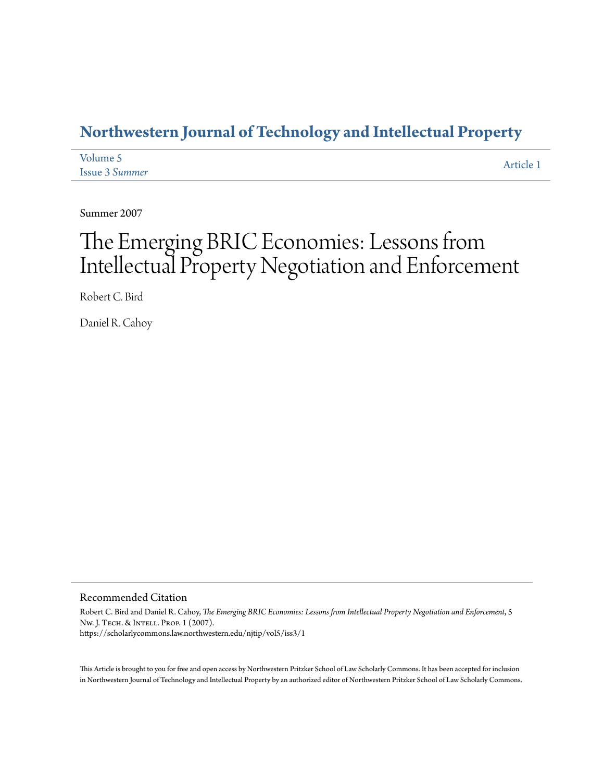### **[Northwestern Journal of Technology and Intellectual Property](https://scholarlycommons.law.northwestern.edu/njtip)**

| Volume 5              | Article 1 |
|-----------------------|-----------|
| <b>Issue 3 Summer</b> |           |

Summer 2007

# The Emerging BRIC Economies: Lessons from Intellectual Property Negotiation and Enforcement

Robert C. Bird

Daniel R. Cahoy

#### Recommended Citation

Robert C. Bird and Daniel R. Cahoy, *The Emerging BRIC Economies: Lessons from Intellectual Property Negotiation and Enforcement*, 5 Nw. J. Tech. & Intell. Prop. 1 (2007). https://scholarlycommons.law.northwestern.edu/njtip/vol5/iss3/1

This Article is brought to you for free and open access by Northwestern Pritzker School of Law Scholarly Commons. It has been accepted for inclusion in Northwestern Journal of Technology and Intellectual Property by an authorized editor of Northwestern Pritzker School of Law Scholarly Commons.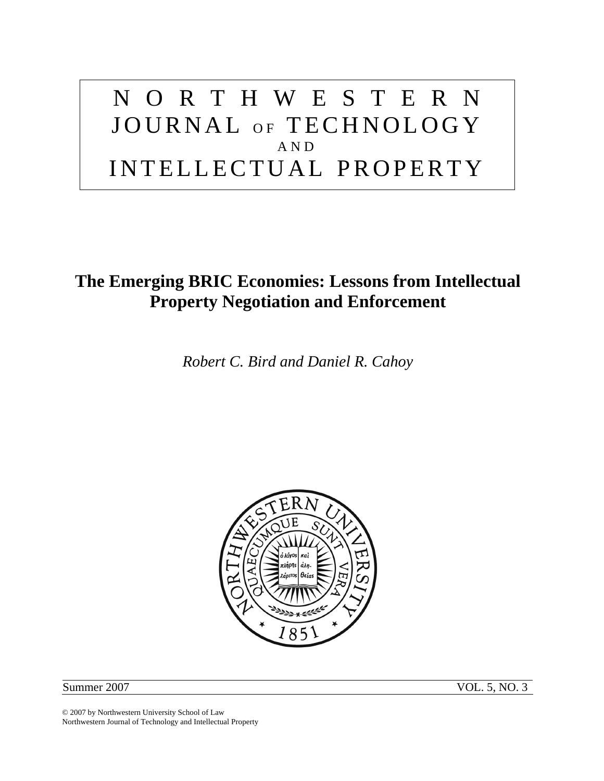# NORTHWESTERN JOURNAL OF TECHNOLOGY AND INTELLECTUAL PROPERTY

## **The Emerging BRIC Economies: Lessons from Intellectual Property Negotiation and Enforcement**

*Robert C. Bird and Daniel R. Cahoy* 



Summer 2007 VOL. 5, NO. 3

© 2007 by Northwestern University School of Law Northwestern Journal of Technology and Intellectual Property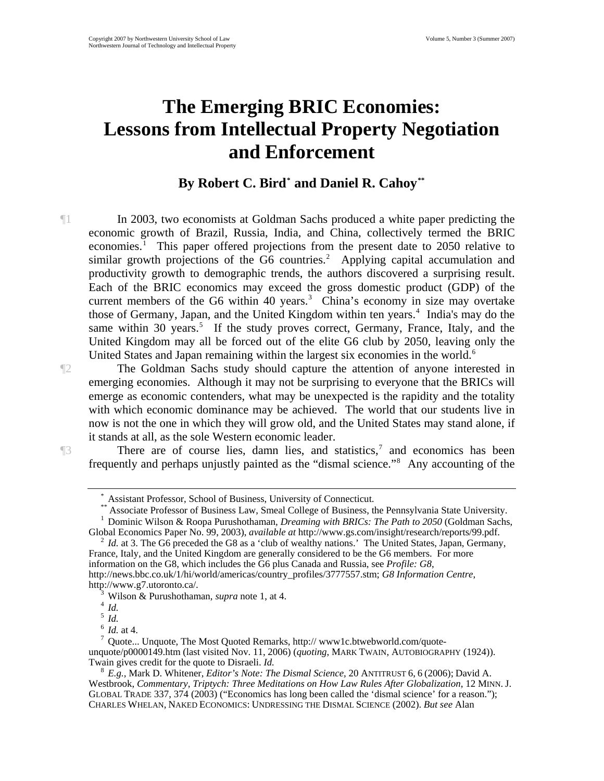## **The Emerging BRIC Economies: Lessons from Intellectual Property Negotiation and Enforcement**

### By Robert C. Bird<sup>\*</sup> and Daniel R. Cahoy<sup>[\\*\\*](#page-2-1)</sup>

¶1 In 2003, two economists at Goldman Sachs produced a white paper predicting the economic growth of Brazil, Russia, India, and China, collectively termed the BRIC economies.<sup>[1](#page-2-2)</sup> This paper offered projections from the present date to 2050 relative to similar growth projections of the G6 countries.<sup>[2](#page-2-3)</sup> Applying capital accumulation and productivity growth to demographic trends, the authors discovered a surprising result. Each of the BRIC economics may exceed the gross domestic product (GDP) of the current members of the G6 within  $40 \text{ years.}^3$  $40 \text{ years.}^3$  China's economy in size may overtake those of Germany, Japan, and the United Kingdom within ten years.<sup>[4](#page-2-5)</sup> India's may do the same within 30 years.<sup>[5](#page-2-6)</sup> If the study proves correct, Germany, France, Italy, and the United Kingdom may all be forced out of the elite G6 club by 2050, leaving only the United States and Japan remaining within the largest six economies in the world.<sup>[6](#page-2-7)</sup>

¶2 The Goldman Sachs study should capture the attention of anyone interested in emerging economies. Although it may not be surprising to everyone that the BRICs will emerge as economic contenders, what may be unexpected is the rapidity and the totality with which economic dominance may be achieved. The world that our students live in now is not the one in which they will grow old, and the United States may stand alone, if it stands at all, as the sole Western economic leader.

<span id="page-2-1"></span><span id="page-2-0"></span>

**There are of course lies, damn lies, and statistics,<sup>[7](#page-2-8)</sup> and economics has been** frequently and perhaps unjustly painted as the "dismal science."<sup>[8](#page-2-9)</sup> Any accounting of the

<span id="page-2-3"></span><span id="page-2-2"></span>Global Economics Paper No. 99, 2003), *available at* http://www.gs.com/insight/research/reports/99.pdf.<br><sup>2</sup> *Id.* at 3. The G6 preceded the G8 as a 'club of wealthy nations.' The United States, Japan, Germany, France, Italy, and the United Kingdom are generally considered to be the G6 members. For more information on the G8, which includes the G6 plus Canada and Russia, see *Profile: G8*, http://news.bbc.co.uk/1/hi/world/americas/country\_profiles/3777557.stm; *G8 Information Centre*, http://www.g7.utoronto.ca/. 3

Assistant Professor, School of Business, University of Connecticut.<br>\*\* Associate Professor of Business Law, Smeal College of Business, the Pennsylvania State University.<br><sup>1</sup> Dominia Wilson & Boone Burushathaman, *Dragming* Dominic Wilson & Roopa Purushothaman, *Dreaming with BRICs: The Path to 2050* (Goldman Sachs,

<sup>&</sup>lt;sup>3</sup> Wilson & Purushothaman, *supra* note 1, at 4.  $\frac{4}{5}$  *Id.* 6 *Id.* at 4.

<span id="page-2-8"></span><span id="page-2-7"></span><span id="page-2-6"></span><span id="page-2-5"></span><span id="page-2-4"></span> $\frac{7}{7}$  Quote... Unquote, The Most Quoted Remarks, http:// www1c.btwebworld.com/quoteunquote/p0000149.htm (last visited Nov. 11, 2006) (*quoting*, MARK TWAIN, AUTOBIOGRAPHY (1924)).<br>Twain gives credit for the quote to Disraeli. *Id*.

<span id="page-2-9"></span><sup>&</sup>lt;sup>8</sup> E.g., Mark D. Whitener, *Editor's Note: The Dismal Science*, 20 ANTITRUST 6, 6 (2006); David A. Westbrook, *Commentary, Triptych: Three Meditations on How Law Rules After Globalization*, 12 MINN. J. GLOBAL TRADE 337, 374 (2003) ("Economics has long been called the 'dismal science' for a reason."); CHARLES WHELAN, NAKED ECONOMICS: UNDRESSING THE DISMAL SCIENCE (2002). *But see* Alan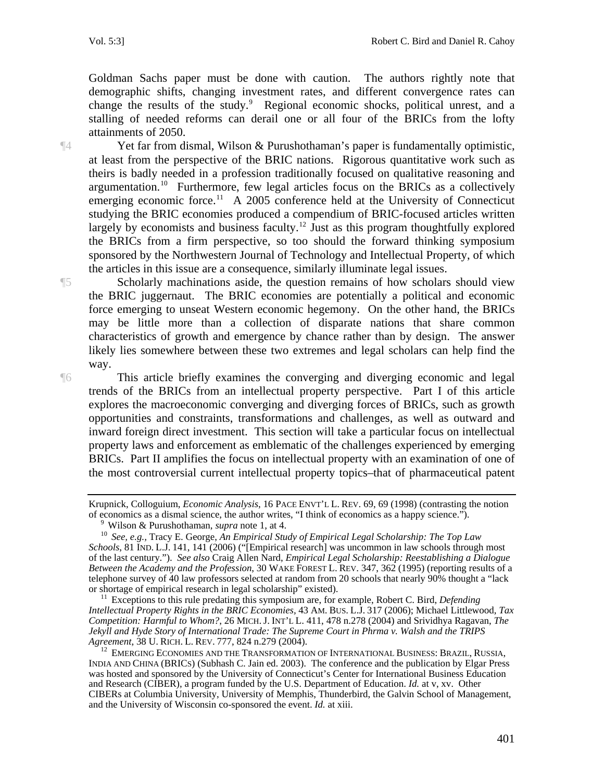Goldman Sachs paper must be done with caution. The authors rightly note that demographic shifts, changing investment rates, and different convergence rates can change the results of the study.<sup>[9](#page-3-0)</sup> Regional economic shocks, political unrest, and a stalling of needed reforms can derail one or all four of the BRICs from the lofty attainments of 2050.

¶4 Yet far from dismal, Wilson & Purushothaman's paper is fundamentally optimistic, at least from the perspective of the BRIC nations. Rigorous quantitative work such as theirs is badly needed in a profession traditionally focused on qualitative reasoning and argumentation.[10](#page-3-1) Furthermore, few legal articles focus on the BRICs as a collectively emerging economic force.<sup>11</sup> A 2005 conference held at the University of Connecticut studying the BRIC economies produced a compendium of BRIC-focused articles written largely by economists and business faculty.<sup>[12](#page-3-3)</sup> Just as this program thoughtfully explored the BRICs from a firm perspective, so too should the forward thinking symposium sponsored by the Northwestern Journal of Technology and Intellectual Property, of which the articles in this issue are a consequence, similarly illuminate legal issues.

¶5 Scholarly machinations aside, the question remains of how scholars should view the BRIC juggernaut. The BRIC economies are potentially a political and economic force emerging to unseat Western economic hegemony. On the other hand, the BRICs may be little more than a collection of disparate nations that share common characteristics of growth and emergence by chance rather than by design. The answer likely lies somewhere between these two extremes and legal scholars can help find the way.

¶6 This article briefly examines the converging and diverging economic and legal trends of the BRICs from an intellectual property perspective. Part I of this article explores the macroeconomic converging and diverging forces of BRICs, such as growth opportunities and constraints, transformations and challenges, as well as outward and inward foreign direct investment. This section will take a particular focus on intellectual property laws and enforcement as emblematic of the challenges experienced by emerging BRICs. Part II amplifies the focus on intellectual property with an examination of one of the most controversial current intellectual property topics–that of pharmaceutical patent

Krupnick, Colloguium, *Economic Analysis*, 16 PACE ENVT'L L. REV. 69, 69 (1998) (contrasting the notion of economics as a dismal science, the author writes, "I think of economics as a happy science.").<br><sup>9</sup> Wilson & Purushothaman, *supra* note 1, at 4.

<span id="page-3-1"></span><span id="page-3-0"></span><sup>&</sup>lt;sup>10</sup> See. e.g., Tracy E. George, *An Empirical Study of Empirical Legal Scholarship: The Top Law Schools*, 81 IND. L.J. 141, 141 (2006) ("[Empirical research] was uncommon in law schools through most of the last century."). *See also* Craig Allen Nard, *Empirical Legal Scholarship: Reestablishing a Dialogue Between the Academy and the Profession*, 30 WAKE FOREST L. REV. 347, 362 (1995) (reporting results of a telephone survey of 40 law professors selected at random from 20 schools that nearly 90% thought a "lack or shortage of empirical research in legal scholarship" existed).

<span id="page-3-2"></span> $\mu$ <sup>11</sup> Exceptions to this rule predating this symposium are, for example, Robert C. Bird, *Defending Intellectual Property Rights in the BRIC Economies,* 43 AM. BUS. L.J. 317 (2006); Michael Littlewood, *Tax Competition: Harmful to Whom?*, 26 MICH.J. INT'L L. 411, 478 n.278 (2004) and Srividhya Ragavan, *The Jekyll and Hyde Story of International Trade: The Supreme Court in Phrma v. Walsh and the TRIPS Agreement, 38 U. RICH. L. REV. 777, 824 n.279 (2004).* 

<span id="page-3-3"></span><sup>&</sup>lt;sup>12</sup> EMERGING ECONOMIES AND THE TRANSFORMATION OF INTERNATIONAL BUSINESS: BRAZIL, RUSSIA, INDIA AND CHINA (BRICS) (Subhash C. Jain ed. 2003). The conference and the publication by Elgar Press was hosted and sponsored by the University of Connecticut's Center for International Business Education and Research (CIBER), a program funded by the U.S. Department of Education. *Id.* at v, xv. Other CIBERs at Columbia University, University of Memphis, Thunderbird, the Galvin School of Management, and the University of Wisconsin co-sponsored the event. *Id.* at xiii.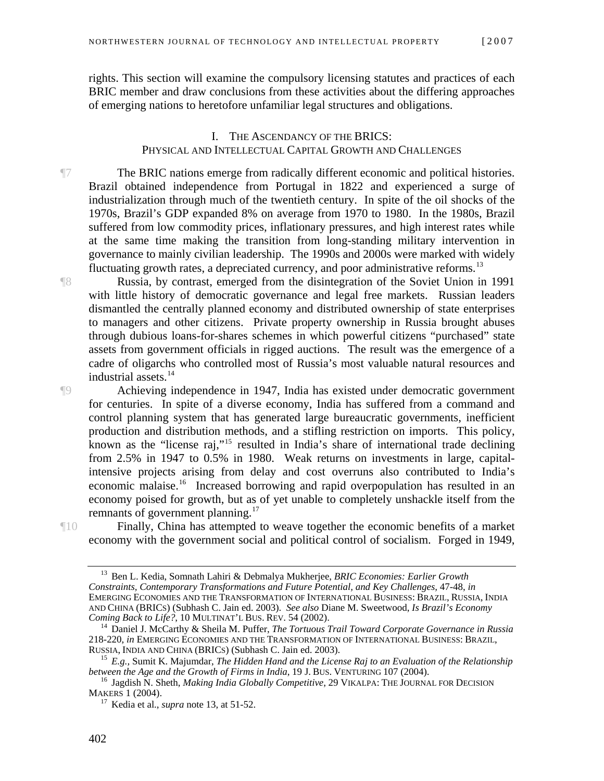rights. This section will examine the compulsory licensing statutes and practices of each BRIC member and draw conclusions from these activities about the differing approaches of emerging nations to heretofore unfamiliar legal structures and obligations.

#### I. THE ASCENDANCY OF THE BRICS: PHYSICAL AND INTELLECTUAL CAPITAL GROWTH AND CHALLENGES

¶7 The BRIC nations emerge from radically different economic and political histories. Brazil obtained independence from Portugal in 1822 and experienced a surge of industrialization through much of the twentieth century. In spite of the oil shocks of the 1970s, Brazil's GDP expanded 8% on average from 1970 to 1980. In the 1980s, Brazil suffered from low commodity prices, inflationary pressures, and high interest rates while at the same time making the transition from long-standing military intervention in governance to mainly civilian leadership. The 1990s and 2000s were marked with widely fluctuating growth rates, a depreciated currency, and poor administrative reforms.<sup>[13](#page-4-0)</sup>

¶8 Russia, by contrast, emerged from the disintegration of the Soviet Union in 1991 with little history of democratic governance and legal free markets. Russian leaders dismantled the centrally planned economy and distributed ownership of state enterprises to managers and other citizens. Private property ownership in Russia brought abuses through dubious loans-for-shares schemes in which powerful citizens "purchased" state assets from government officials in rigged auctions. The result was the emergence of a cadre of oligarchs who controlled most of Russia's most valuable natural resources and industrial assets.<sup>[14](#page-4-1)</sup>

¶9 Achieving independence in 1947, India has existed under democratic government for centuries. In spite of a diverse economy, India has suffered from a command and control planning system that has generated large bureaucratic governments, inefficient production and distribution methods, and a stifling restriction on imports. This policy, known as the "license raj,"<sup>[15](#page-4-2)</sup> resulted in India's share of international trade declining from 2.5% in 1947 to 0.5% in 1980. Weak returns on investments in large, capitalintensive projects arising from delay and cost overruns also contributed to India's economic malaise.[16](#page-4-3) Increased borrowing and rapid overpopulation has resulted in an economy poised for growth, but as of yet unable to completely unshackle itself from the remnants of government planning.<sup>[17](#page-4-4)</sup>

<span id="page-4-0"></span>

¶10 Finally, China has attempted to weave together the economic benefits of a market economy with the government social and political control of socialism. Forged in 1949,

<sup>13</sup> Ben L. Kedia, Somnath Lahiri & Debmalya Mukherjee, *BRIC Economies: Earlier Growth Constraints, Contemporary Transformations and Future Potential, and Key Challenges,* 47-48, *in* EMERGING ECONOMIES AND THE TRANSFORMATION OF INTERNATIONAL BUSINESS: BRAZIL, RUSSIA, INDIA AND CHINA (BRICS) (Subhash C. Jain ed. 2003). *See also* Diane M. Sweetwood, *Is Brazil's Economy* 

<span id="page-4-1"></span><sup>&</sup>lt;sup>14</sup> Daniel J. McCarthy & Sheila M. Puffer, *The Tortuous Trail Toward Corporate Governance in Russia* 218-220, *in* EMERGING ECONOMIES AND THE TRANSFORMATION OF INTERNATIONAL BUSINESS: BRAZIL,

<sup>&</sup>lt;sup>15</sup> E.g., Sumit K. Majumdar, *The Hidden Hand and the License Raj to an Evaluation of the Relationship* 

<span id="page-4-4"></span><span id="page-4-3"></span><span id="page-4-2"></span>*between the Age and the Growth of Firms in India*, 19 J. BUS. VENTURING 107 (2004).<br><sup>16</sup> Jagdish N. Sheth, *Making India Globally Competitive*, 29 VIKALPA: THE JOURNAL FOR DECISION<br>MAKERS 1 (2004).

 $17$  Kedia et al., *supra* note 13, at 51-52.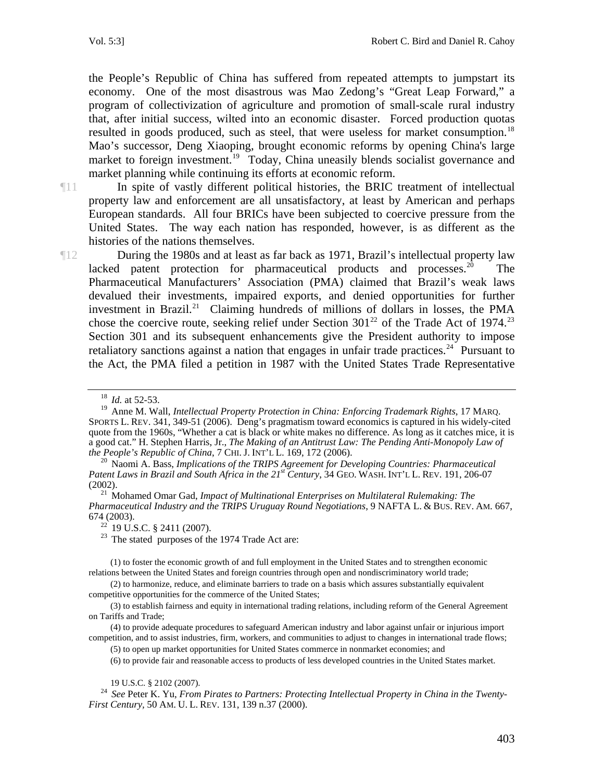the People's Republic of China has suffered from repeated attempts to jumpstart its economy. One of the most disastrous was Mao Zedong's "Great Leap Forward," a program of collectivization of agriculture and promotion of small-scale rural industry that, after initial success, wilted into an economic disaster. Forced production quotas resulted in goods produced, such as steel, that were useless for market consumption.<sup>18</sup> Mao's successor, Deng Xiaoping, brought economic reforms by opening China's large market to foreign investment.<sup>[19](#page-5-1)</sup> Today, China uneasily blends socialist governance and market planning while continuing its efforts at economic reform.

¶11 In spite of vastly different political histories, the BRIC treatment of intellectual property law and enforcement are all unsatisfactory, at least by American and perhaps European standards. All four BRICs have been subjected to coercive pressure from the United States. The way each nation has responded, however, is as different as the histories of the nations themselves.

¶12 During the 1980s and at least as far back as 1971, Brazil's intellectual property law lacked patent protection for pharmaceutical products and processes. $^{20}$  $^{20}$  $^{20}$  The Pharmaceutical Manufacturers' Association (PMA) claimed that Brazil's weak laws devalued their investments, impaired exports, and denied opportunities for further investment in Brazil.<sup>[21](#page-5-3)</sup> Claiming hundreds of millions of dollars in losses, the PMA chose the coercive route, seeking relief under Section  $301^{22}$  of the Trade Act of 1974.<sup>23</sup> Section 301 and its subsequent enhancements give the President authority to impose retaliatory sanctions against a nation that engages in unfair trade practices.<sup>[24](#page-5-6)</sup> Pursuant to the Act, the PMA filed a petition in 1987 with the United States Trade Representative

<span id="page-5-4"></span><span id="page-5-3"></span>*Pharmaceutical Industry and the TRIPS Uruguay Round Negotiations*, 9 NAFTA L. & BUS. REV. AM. 667, 674 (2003).<br><sup>22</sup> 19 U.S.C. § 2411 (2007).

<sup>23</sup> The stated purposes of the 1974 Trade Act are:

<span id="page-5-5"></span>(1) to foster the economic growth of and full employment in the United States and to strengthen economic relations between the United States and foreign countries through open and nondiscriminatory world trade;

(2) to harmonize, reduce, and eliminate barriers to trade on a basis which assures substantially equivalent competitive opportunities for the commerce of the United States;

(3) to establish fairness and equity in international trading relations, including reform of the General Agreement on Tariffs and Trade;

(4) to provide adequate procedures to safeguard American industry and labor against unfair or injurious import competition, and to assist industries, firm, workers, and communities to adjust to changes in international trade flows;

(5) to open up market opportunities for United States commerce in nonmarket economies; and

(6) to provide fair and reasonable access to products of less developed countries in the United States market.

<span id="page-5-6"></span>19 U.S.C. § 2102 (2007). 24 *See* Peter K. Yu, *From Pirates to Partners: Protecting Intellectual Property in China in the Twenty-First Century,* 50 AM. U. L. REV. 131, 139 n.37 (2000).

<sup>18</sup> *Id.* at 52-53.

<span id="page-5-1"></span><span id="page-5-0"></span><sup>&</sup>lt;sup>19</sup> Anne M. Wall, *Intellectual Property Protection in China: Enforcing Trademark Rights*, 17 MARQ. SPORTS L. REV. 341, 349-51 (2006). Deng's pragmatism toward economics is captured in his widely-cited quote from the 1960s, "Whether a cat is black or white makes no difference. As long as it catches mice, it is a good cat." H. Stephen Harris, Jr., *The Making of an Antitrust Law: The Pending Anti-Monopoly Law of the People's Republic of China*, 7 CHI. J. INT'L L. 169, 172 (2006). 20 Naomi A. Bass, *Implications of the TRIPS Agreement for Developing Countries: Pharmaceutical* 

<span id="page-5-2"></span>Patent Laws in Brazil and South Africa in the 21<sup>st</sup> Century, 34 GEO. WASH. INT'L L. REV. 191, 206-07 (2002). 21 Mohamed Omar Gad, *Impact of Multinational Enterprises on Multilateral Rulemaking: The*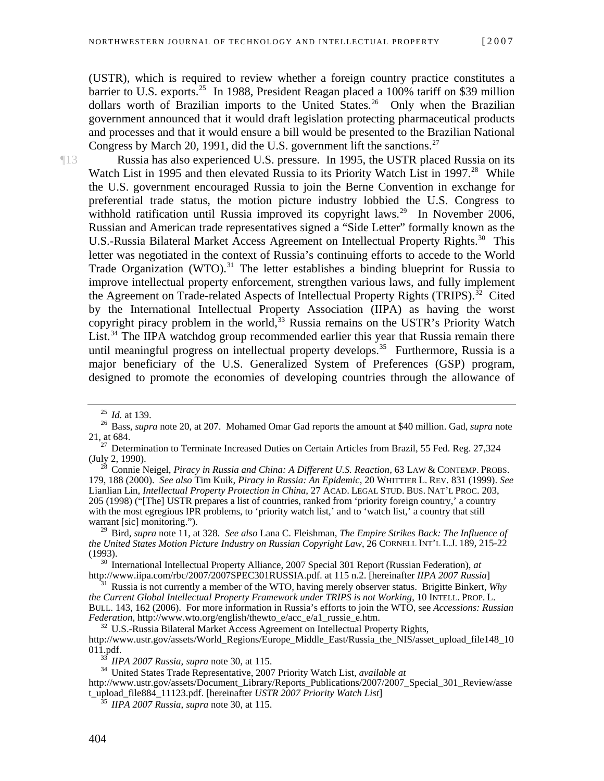(USTR), which is required to review whether a foreign country practice constitutes a barrier to U.S. exports.<sup>[25](#page-6-0)</sup> In 1988, President Reagan placed a 100% tariff on \$39 million dollars worth of Brazilian imports to the United States.<sup>[26](#page-6-1)</sup> Only when the Brazilian government announced that it would draft legislation protecting pharmaceutical products and processes and that it would ensure a bill would be presented to the Brazilian National Congress by March 20, 1991, did the U.S. government lift the sanctions.<sup>27</sup>

¶13 Russia has also experienced U.S. pressure. In 1995, the USTR placed Russia on its Watch List in 1995 and then elevated Russia to its Priority Watch List in 1997.<sup>[28](#page-6-3)</sup> While the U.S. government encouraged Russia to join the Berne Convention in exchange for preferential trade status, the motion picture industry lobbied the U.S. Congress to withhold ratification until Russia improved its copyright laws.<sup>[29](#page-6-4)</sup> In November 2006, Russian and American trade representatives signed a "Side Letter" formally known as the U.S.-Russia Bilateral Market Access Agreement on Intellectual Property Rights.<sup>[30](#page-6-5)</sup> This letter was negotiated in the context of Russia's continuing efforts to accede to the World Trade Organization (WTO).<sup>[31](#page-6-6)</sup> The letter establishes a binding blueprint for Russia to improve intellectual property enforcement, strengthen various laws, and fully implement the Agreement on Trade-related Aspects of Intellectual Property Rights (TRIPS).<sup>[32](#page-6-7)</sup> Cited by the International Intellectual Property Association (IIPA) as having the worst copyright piracy problem in the world,<sup>[33](#page-6-8)</sup> Russia remains on the USTR's Priority Watch List.<sup>[34](#page-6-9)</sup> The IIPA watchdog group recommended earlier this year that Russia remain there until meaningful progress on intellectual property develops.<sup>[35](#page-6-10)</sup> Furthermore, Russia is a major beneficiary of the U.S. Generalized System of Preferences (GSP) program, designed to promote the economies of developing countries through the allowance of

<span id="page-6-0"></span><sup>25</sup> *Id.* at 139. 26 Bass, *supra* note 20, at 207. Mohamed Omar Gad reports the amount at \$40 million. Gad, *supra* note

<span id="page-6-2"></span><span id="page-6-1"></span><sup>21,</sup> at 684. <sup>27</sup> Determination to Terminate Increased Duties on Certain Articles from Brazil, 55 Fed. Reg. 27,324 (July 2, 1990).

<span id="page-6-3"></span><sup>(</sup>July 2, 1990). 28 Connie Neigel, *Piracy in Russia and China: A Different U.S. Reaction,* 63 LAW & CONTEMP. PROBS. 179, 188 (2000). *See also* Tim Kuik, *Piracy in Russia: An Epidemic*, 20 WHITTIER L. REV. 831 (1999). *See*  Lianlian Lin, *Intellectual Property Protection in China*, 27 ACAD. LEGAL STUD. BUS. NAT'L PROC. 203, 205 (1998) ("[The] USTR prepares a list of countries, ranked from 'priority foreign country,' a country with the most egregious IPR problems, to 'priority watch list,' and to 'watch list,' a country that still warrant [sic] monitoring.").

<span id="page-6-4"></span><sup>29</sup> Bird, *supra* note 11, at 328. *See also* Lana C. Fleishman, *The Empire Strikes Back: The Influence of the United States Motion Picture Industry on Russian Copyright Law*, 26 CORNELL INT'L L.J. 189, 215-22

<span id="page-6-5"></span><sup>(1993). 30</sup> International Intellectual Property Alliance, 2007 Special 301 Report (Russian Federation), *at*

<span id="page-6-6"></span><sup>&</sup>lt;sup>31</sup> Russia is not currently a member of the WTO, having merely observer status. Brigitte Binkert, *Why the Current Global Intellectual Property Framework under TRIPS is not Working*, 10 INTELL. PROP. L. BULL. 143, 162 (2006). For more information in Russia's efforts to join the WTO, see *Accessions: Russian* 

<span id="page-6-7"></span><sup>&</sup>lt;sup>32</sup> U.S.-Russia Bilateral Market Access Agreement on Intellectual Property Rights, http://www.ustr.gov/assets/World\_Regions/Europe\_Middle\_East/Russia\_the\_NIS/asset\_upload\_file148\_10 011.pdf. 33 *IIPA 2007 Russia*, *supra* note 30, at 115. 34 United States Trade Representative, 2007 Priority Watch List, *available at*

<span id="page-6-10"></span><span id="page-6-9"></span><span id="page-6-8"></span>http://www.ustr.gov/assets/Document\_Library/Reports\_Publications/2007/2007\_Special\_301\_Review/asse t\_upload\_file884\_11123.pdf. [hereinafter *USTR 2007 Priority Watch List*] 35 *IIPA 2007 Russia*, *supra* note 30, at 115.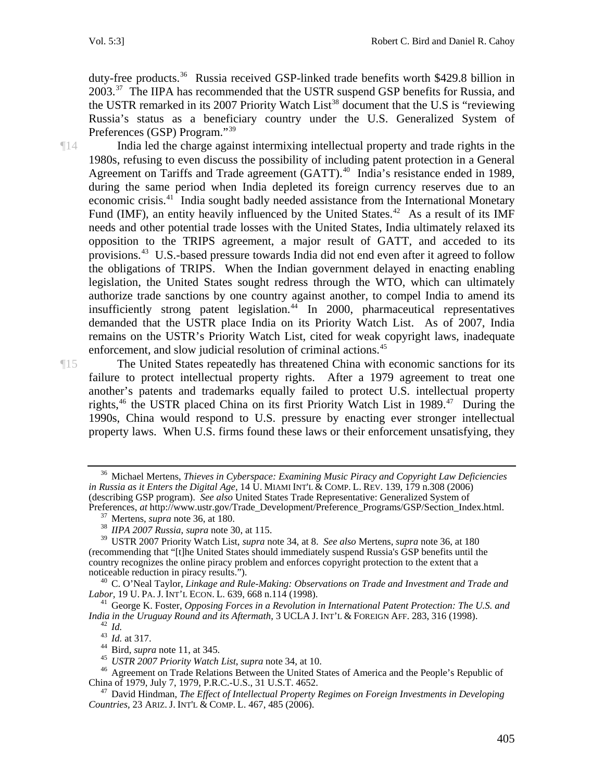duty-free products.<sup>[36](#page-7-0)</sup> Russia received GSP-linked trade benefits worth \$429.8 billion in 2003.<sup>[37](#page-7-1)</sup> The IIPA has recommended that the USTR suspend GSP benefits for Russia, and the USTR remarked in its 2007 Priority Watch List<sup>[38](#page-7-2)</sup> document that the U.S is "reviewing Russia's status as a beneficiary country under the U.S. Generalized System of Preferences (GSP) Program."[39](#page-7-3)

¶14 India led the charge against intermixing intellectual property and trade rights in the 1980s, refusing to even discuss the possibility of including patent protection in a General Agreement on Tariffs and Trade agreement (GATT).<sup>[40](#page-7-4)</sup> India's resistance ended in 1989, during the same period when India depleted its foreign currency reserves due to an economic crisis.<sup>[41](#page-7-5)</sup> India sought badly needed assistance from the International Monetary Fund (IMF), an entity heavily influenced by the United States.<sup>[42](#page-7-6)</sup> As a result of its IMF needs and other potential trade losses with the United States, India ultimately relaxed its opposition to the TRIPS agreement, a major result of GATT, and acceded to its provisions.<sup>[43](#page-7-7)</sup> U.S.-based pressure towards India did not end even after it agreed to follow the obligations of TRIPS. When the Indian government delayed in enacting enabling legislation, the United States sought redress through the WTO, which can ultimately authorize trade sanctions by one country against another, to compel India to amend its insufficiently strong patent legislation. $44$  In 2000, pharmaceutical representatives demanded that the USTR place India on its Priority Watch List. As of 2007, India remains on the USTR's Priority Watch List, cited for weak copyright laws, inadequate enforcement, and slow judicial resolution of criminal actions.<sup>[45](#page-7-9)</sup>

¶15 The United States repeatedly has threatened China with economic sanctions for its failure to protect intellectual property rights. After a 1979 agreement to treat one another's patents and trademarks equally failed to protect U.S. intellectual property rights,  $46$  the USTR placed China on its first Priority Watch List in 1989.  $47$  During the 1990s, China would respond to U.S. pressure by enacting ever stronger intellectual property laws. When U.S. firms found these laws or their enforcement unsatisfying, they

<span id="page-7-0"></span><sup>36</sup> Michael Mertens, *Thieves in Cyberspace: Examining Music Piracy and Copyright Law Deficiencies in Russia as it Enters the Digital Age,* 14 U. MIAMI INT'L & COMP. L. REV. 139, 179 n.308 (2006) (describing GSP program). *See also* United States Trade Representative: Generalized System of Preferences, *at* http://www.ustr.gov/Trade\_Development/Preference\_Programs/GSP/Section\_Index.html. 37 Mertens, *supra* note 36, at 180. 38 *IIPA 2007 Russia*, *supra* note 30, at 115.

<span id="page-7-3"></span><span id="page-7-2"></span><span id="page-7-1"></span><sup>39</sup> USTR 2007 Priority Watch List, *supra* note 34, at 8. *See also* Mertens, *supra* note 36, at 180 (recommending that "[t]he United States should immediately suspend Russia's GSP benefits until the country recognizes the online piracy problem and enforces copyright protection to the extent that a

<span id="page-7-4"></span>noticeable reduction in piracy results.").<br><sup>40</sup> C. O'Neal Taylor, *Linkage and Rule-Making: Observations on Trade and Investment and Trade and <i>Labor*, 19 U. PA. J. INT'L ECON. L. 639, 668 n.114 (1998).

<span id="page-7-5"></span><sup>&</sup>lt;sup>41</sup> George K. Foster, *Opposing Forces in a Revolution in International Patent Protection: The U.S. and India in the Uruguay Round and its Aftermath, 3 UCLA J. INT'L & FOREIGN AFF. 283, 316 (1998).* 

<span id="page-7-8"></span><span id="page-7-7"></span><span id="page-7-6"></span><sup>&</sup>lt;sup>42</sup> *Id.*<br>
<sup>43</sup> *Id.* at 317.<br>
<sup>44</sup> Bird, *supra* note 11, at 345.<br>
<sup>45</sup> *USTR 2007 Priority Watch List, supra* note 34, at 10.<br>
<sup>46</sup> Agreement on Trade Relations Between the United States of America and the People's Rep

<span id="page-7-11"></span><span id="page-7-10"></span><span id="page-7-9"></span><sup>&</sup>lt;sup>47</sup> David Hindman, *The Effect of Intellectual Property Regimes on Foreign Investments in Developing Countries,* 23 ARIZ. J. INT'L & COMP. L. 467, 485 (2006).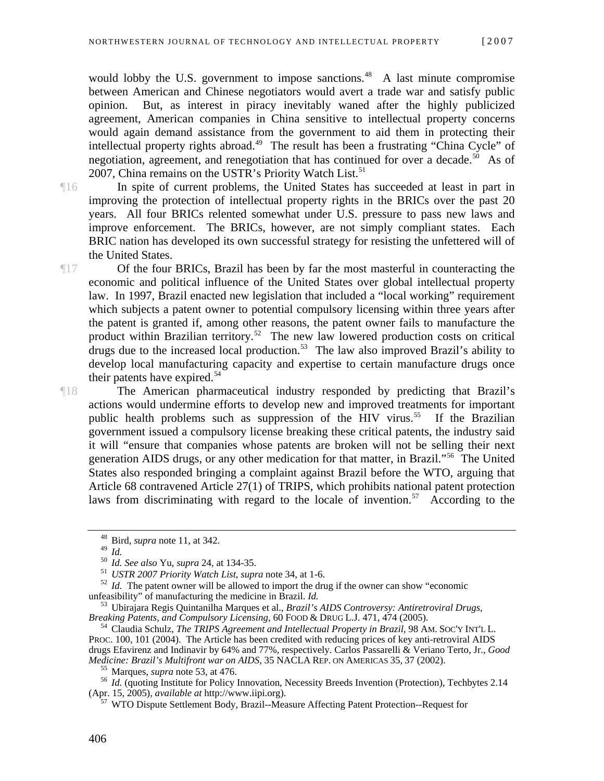would lobby the U.S. government to impose sanctions.<sup>[48](#page-8-0)</sup> A last minute compromise between American and Chinese negotiators would avert a trade war and satisfy public opinion. But, as interest in piracy inevitably waned after the highly publicized agreement, American companies in China sensitive to intellectual property concerns would again demand assistance from the government to aid them in protecting their intellectual property rights abroad.<sup>[49](#page-8-1)</sup> The result has been a frustrating "China Cycle" of negotiation, agreement, and renegotiation that has continued for over a decade.<sup>[50](#page-8-2)</sup> As of 2007, China remains on the USTR's Priority Watch List.<sup>[51](#page-8-3)</sup>

¶16 In spite of current problems, the United States has succeeded at least in part in improving the protection of intellectual property rights in the BRICs over the past 20 years. All four BRICs relented somewhat under U.S. pressure to pass new laws and improve enforcement. The BRICs, however, are not simply compliant states. Each BRIC nation has developed its own successful strategy for resisting the unfettered will of the United States.

¶17 Of the four BRICs, Brazil has been by far the most masterful in counteracting the economic and political influence of the United States over global intellectual property law. In 1997, Brazil enacted new legislation that included a "local working" requirement which subjects a patent owner to potential compulsory licensing within three years after the patent is granted if, among other reasons, the patent owner fails to manufacture the product within Brazilian territory.<sup>[52](#page-8-4)</sup> The new law lowered production costs on critical drugs due to the increased local production.<sup>[53](#page-8-5)</sup> The law also improved Brazil's ability to develop local manufacturing capacity and expertise to certain manufacture drugs once their patents have expired.<sup>[54](#page-8-6)</sup>

¶18 The American pharmaceutical industry responded by predicting that Brazil's actions would undermine efforts to develop new and improved treatments for important public health problems such as suppression of the HIV virus.<sup>[55](#page-8-7)</sup> If the Brazilian government issued a compulsory license breaking these critical patents, the industry said it will "ensure that companies whose patents are broken will not be selling their next generation AIDS drugs, or any other medication for that matter, in Brazil."[56](#page-8-8) The United States also responded bringing a complaint against Brazil before the WTO, arguing that Article 68 contravened Article 27(1) of TRIPS, which prohibits national patent protection laws from discriminating with regard to the locale of invention.<sup>[57](#page-8-9)</sup> According to the

<sup>&</sup>lt;sup>48</sup> Bird, *supra* note 11, at 342.

<span id="page-8-4"></span><span id="page-8-3"></span><span id="page-8-2"></span><span id="page-8-1"></span><span id="page-8-0"></span><sup>&</sup>lt;sup>50</sup> *Id. See also* Yu, *supra* 24, at 134-35.<br><sup>51</sup> *USTR* 2007 *Priority Watch List, supra* note 34, at 1-6.<br><sup>52</sup> *Id.* The patent owner will be allowed to import the drug if the owner can show "economic unfeasibility" o

<span id="page-8-5"></span><sup>&</sup>lt;sup>53</sup> Ubirajara Regis Quintanilha Marques et al., *Brazil's AIDS Controversy: Antiretroviral Drugs, Breaking Patents, and Compulsory Licensing, 60 FOOD & DRUG L.J. 471, 474 (2005).* 

<span id="page-8-6"></span><sup>&</sup>lt;sup>54</sup> Claudia Schulz, *The TRIPS Agreement and Intellectual Property in Brazil*, 98 AM. SOC'Y INT'L L. PROC. 100, 101 (2004). The Article has been credited with reducing prices of key anti-retroviral AIDS drugs Efavirenz and Indinavir by 64% and 77%, respectively. Carlos Passarelli & Veriano Terto, Jr., *Good* 

<span id="page-8-9"></span><span id="page-8-8"></span><span id="page-8-7"></span><sup>&</sup>lt;sup>55</sup> Marques, *supra* note 53, at 476.<br><sup>56</sup> *Id.* (quoting Institute for Policy Innovation, Necessity Breeds Invention (Protection), Techbytes 2.14 (Apr. 15, 2005), *available at http://www.iipi.org*).

WTO Dispute Settlement Body, Brazil--Measure Affecting Patent Protection--Request for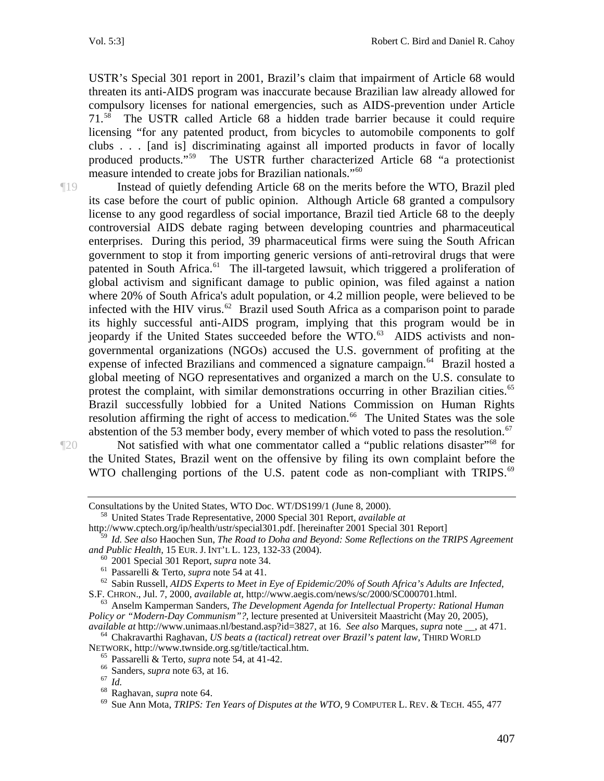USTR's Special 301 report in 2001, Brazil's claim that impairment of Article 68 would threaten its anti-AIDS program was inaccurate because Brazilian law already allowed for compulsory licenses for national emergencies, such as AIDS-prevention under Article 71.[58](#page-9-0) The USTR called Article 68 a hidden trade barrier because it could require licensing "for any patented product, from bicycles to automobile components to golf clubs . . . [and is] discriminating against all imported products in favor of locally produced products."[59](#page-9-1) The USTR further characterized Article 68 "a protectionist measure intended to create jobs for Brazilian nationals."[60](#page-9-2)

¶19 Instead of quietly defending Article 68 on the merits before the WTO, Brazil pled its case before the court of public opinion. Although Article 68 granted a compulsory license to any good regardless of social importance, Brazil tied Article 68 to the deeply controversial AIDS debate raging between developing countries and pharmaceutical enterprises. During this period, 39 pharmaceutical firms were suing the South African government to stop it from importing generic versions of anti-retroviral drugs that were patented in South Africa.<sup>[61](#page-9-3)</sup> The ill-targeted lawsuit, which triggered a proliferation of global activism and significant damage to public opinion, was filed against a nation where 20% of South Africa's adult population, or 4.2 million people, were believed to be infected with the HIV virus.<sup>[62](#page-9-4)</sup> Brazil used South Africa as a comparison point to parade its highly successful anti-AIDS program, implying that this program would be in jeopardy if the United States succeeded before the WTO. $^{63}$  $^{63}$  $^{63}$  AIDS activists and nongovernmental organizations (NGOs) accused the U.S. government of profiting at the expense of infected Brazilians and commenced a signature campaign.<sup>[64](#page-9-6)</sup> Brazil hosted a global meeting of NGO representatives and organized a march on the U.S. consulate to protest the complaint, with similar demonstrations occurring in other Brazilian cities.<sup>65</sup> Brazil successfully lobbied for a United Nations Commission on Human Rights resolution affirming the right of access to medication.<sup>[66](#page-9-8)</sup> The United States was the sole abstention of the 53 member body, every member of which voted to pass the resolution.<sup>[67](#page-9-9)</sup>

¶20 Not satisfied with what one commentator called a "public relations disaster["68](#page-9-10) for the United States, Brazil went on the offensive by filing its own complaint before the WTO challenging portions of the U.S. patent code as non-compliant with TRIPS.<sup>69</sup>

<span id="page-9-0"></span>http://www.cptech.org/ip/health/ustr/special301.pdf. [hereinafter 2001 Special 301 Report]

<span id="page-9-3"></span><span id="page-9-2"></span><sup>60</sup> 2001 Special 301 Report, *supra* note 34.<br><sup>61</sup> Passarelli & Terto, *supra* note 54 at 41.<br><sup>62</sup> Sabin Russell, *AIDS Experts to Meet in Eye of Epidemic/20% of South Africa's Adults are Infected*,<br>S.F. CHRON., Jul. 7,

<span id="page-9-8"></span><span id="page-9-7"></span><span id="page-9-6"></span>available at http://www.unimaas.nl/bestand.asp?id=3827, at 16. See also Marques, supra note \_\_, at 471.<br><sup>64</sup> Chakravarthi Raghavan, *US beats a (tactical) retreat over Brazil's patent law*, THIRD WORLD<br>NETWORK, http://www.

Consultations by the United States, WTO Doc. WT/DS199/1 (June 8, 2000). 58 United States Trade Representative, 2000 Special 301 Report, *available at*

<span id="page-9-1"></span><sup>59</sup> *Id. See also* Haochen Sun, *The Road to Doha and Beyond: Some Reflections on the TRIPS Agreement* 

<span id="page-9-5"></span><span id="page-9-4"></span><sup>&</sup>lt;sup>63</sup> Anselm Kamperman Sanders, *The Development Agenda for Intellectual Property: Rational Human Policy or "Modern-Day Communism"?*, lecture presented at Universiteit Maastricht (May 20, 2005),

<span id="page-9-9"></span>

<span id="page-9-11"></span><span id="page-9-10"></span>

<sup>&</sup>lt;sup>65</sup> Passarelli & Terto, *supra* note 54, at 41-42.<br>
<sup>66</sup> Sanders, *supra* note 63, at 16.<br>
<sup>67</sup> Id.<br>
<sup>68</sup> Raghavan, *supra* note 64.<br>
<sup>69</sup> Sue Ann Mota, *TRIPS: Ten Years of Disputes at the WTO*, 9 COMPUTER L. REV. & TEC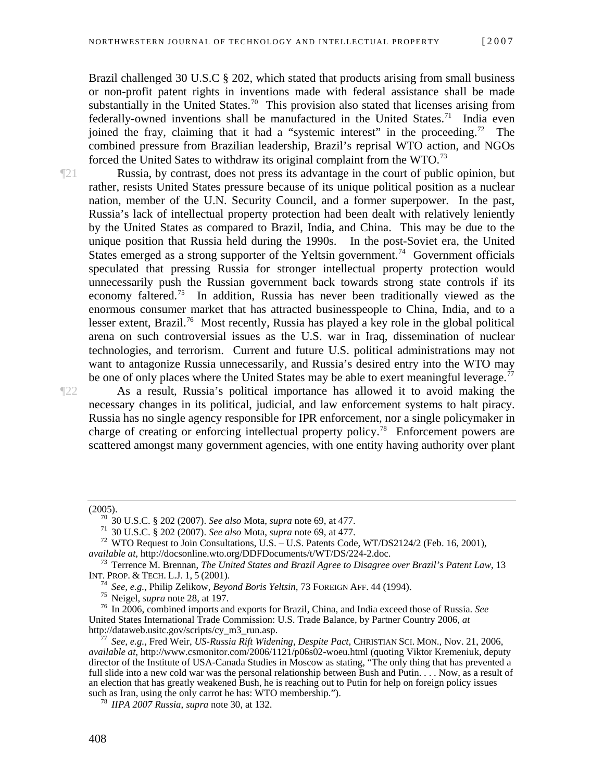Brazil challenged 30 U.S.C § 202, which stated that products arising from small business or non-profit patent rights in inventions made with federal assistance shall be made substantially in the United States.<sup>[70](#page-10-0)</sup> This provision also stated that licenses arising from federally-owned inventions shall be manufactured in the United States.<sup>[71](#page-10-1)</sup> India even joined the fray, claiming that it had a "systemic interest" in the proceeding.<sup>[72](#page-10-2)</sup> The combined pressure from Brazilian leadership, Brazil's reprisal WTO action, and NGOs forced the United Sates to withdraw its original complaint from the WTO.<sup>[73](#page-10-3)</sup>

¶21 Russia, by contrast, does not press its advantage in the court of public opinion, but rather, resists United States pressure because of its unique political position as a nuclear nation, member of the U.N. Security Council, and a former superpower. In the past, Russia's lack of intellectual property protection had been dealt with relatively leniently by the United States as compared to Brazil, India, and China. This may be due to the unique position that Russia held during the 1990s. In the post-Soviet era, the United States emerged as a strong supporter of the Yeltsin government.<sup>[74](#page-10-4)</sup> Government officials speculated that pressing Russia for stronger intellectual property protection would unnecessarily push the Russian government back towards strong state controls if its economy faltered.<sup>[75](#page-10-5)</sup> In addition, Russia has never been traditionally viewed as the enormous consumer market that has attracted businesspeople to China, India, and to a lesser extent, Brazil.<sup>[76](#page-10-6)</sup> Most recently, Russia has played a key role in the global political arena on such controversial issues as the U.S. war in Iraq, dissemination of nuclear technologies, and terrorism. Current and future U.S. political administrations may not want to antagonize Russia unnecessarily, and Russia's desired entry into the WTO may be one of only places where the United States may be able to exert meaningful leverage.<sup>[77](#page-10-7)</sup>

¶22 As a result, Russia's political importance has allowed it to avoid making the necessary changes in its political, judicial, and law enforcement systems to halt piracy. Russia has no single agency responsible for IPR enforcement, nor a single policymaker in charge of creating or enforcing intellectual property policy.<sup>[78](#page-10-8)</sup> Enforcement powers are scattered amongst many government agencies, with one entity having authority over plant

<span id="page-10-1"></span><span id="page-10-0"></span><sup>(2005).&</sup>lt;br>
<sup>70</sup> 30 U.S.C. § 202 (2007). *See also* Mota, *supra* note 69, at 477.<br>
<sup>71</sup> 30 U.S.C. § 202 (2007). *See also* Mota, *supra* note 69, at 477.<br>
<sup>72</sup> WTO Request to Join Consultations, U.S. – U.S. Patents Code, WT

<span id="page-10-3"></span><span id="page-10-2"></span><sup>&</sup>lt;sup>73</sup> Terrence M. Brennan, *The United States and Brazil Agree to Disagree over Brazil's Patent Law*, 13 INT. PROP. & TECH. L.J. 1, 5 (2001).

<span id="page-10-6"></span><span id="page-10-5"></span><span id="page-10-4"></span><sup>&</sup>lt;sup>74</sup> See, e.g., Philip Zelikow, *Beyond Boris Yeltsin*, 73 FOREIGN AFF. 44 (1994).<br><sup>75</sup> Neigel, *supra* note 28, at 197.<br><sup>76</sup> In 2006, combined imports and exports for Brazil, China, and India exceed those of Russia. See United States International Trade Commission: U.S. Trade Balance, by Partner Country 2006, *at*

<span id="page-10-7"></span>See, e.g., Fred Weir, *US-Russia Rift Widening, Despite Pact, CHRISTIAN SCI. MON., Nov. 21, 2006, available at,* http://www.csmonitor.com/2006/1121/p06s02-woeu.html (quoting Viktor Kremeniuk, deputy director of the Institute of USA-Canada Studies in Moscow as stating, "The only thing that has prevented a full slide into a new cold war was the personal relationship between Bush and Putin. . . . Now, as a result of an election that has greatly weakened Bush, he is reaching out to Putin for help on foreign policy issues such as Iran, using the only carrot he has: WTO membership."). 78 *IIPA 2007 Russia*, *supra* note 30, at 132.

<span id="page-10-8"></span>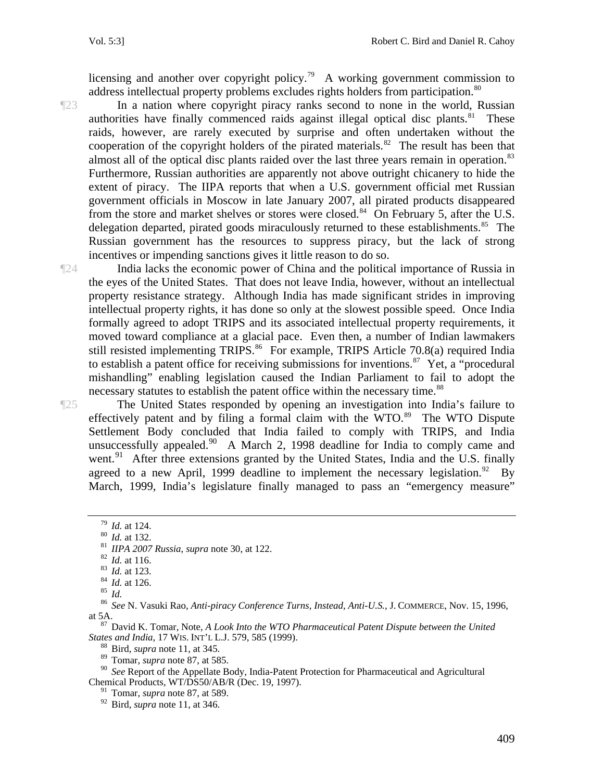licensing and another over copyright policy.<sup>[79](#page-11-0)</sup> A working government commission to address intellectual property problems excludes rights holders from participation.<sup>[80](#page-11-1)</sup>

¶23 In a nation where copyright piracy ranks second to none in the world, Russian authorities have finally commenced raids against illegal optical disc plants. $81$  These raids, however, are rarely executed by surprise and often undertaken without the cooperation of the copyright holders of the pirated materials.<sup>[82](#page-11-3)</sup> The result has been that almost all of the optical disc plants raided over the last three years remain in operation.<sup>83</sup> Furthermore, Russian authorities are apparently not above outright chicanery to hide the extent of piracy. The IIPA reports that when a U.S. government official met Russian government officials in Moscow in late January 2007, all pirated products disappeared from the store and market shelves or stores were closed.<sup>[84](#page-11-5)</sup> On February 5, after the U.S. delegation departed, pirated goods miraculously returned to these establishments.<sup>[85](#page-11-6)</sup> The Russian government has the resources to suppress piracy, but the lack of strong incentives or impending sanctions gives it little reason to do so.

¶24 India lacks the economic power of China and the political importance of Russia in the eyes of the United States. That does not leave India, however, without an intellectual property resistance strategy. Although India has made significant strides in improving intellectual property rights, it has done so only at the slowest possible speed. Once India formally agreed to adopt TRIPS and its associated intellectual property requirements, it moved toward compliance at a glacial pace. Even then, a number of Indian lawmakers still resisted implementing TRIPS.<sup>[86](#page-11-7)</sup> For example, TRIPS Article 70.8(a) required India to establish a patent office for receiving submissions for inventions.<sup>[87](#page-11-8)</sup> Yet, a "procedural" mishandling" enabling legislation caused the Indian Parliament to fail to adopt the necessary statutes to establish the patent office within the necessary time.<sup>[88](#page-11-9)</sup>

¶25 The United States responded by opening an investigation into India's failure to effectively patent and by filing a formal claim with the  $WTO$ .<sup>[89](#page-11-10)</sup> The WTO Dispute Settlement Body concluded that India failed to comply with TRIPS, and India unsuccessfully appealed.<sup>[90](#page-11-11)</sup> A March 2, 1998 deadline for India to comply came and went.<sup>[91](#page-11-12)</sup> After three extensions granted by the United States, India and the U.S. finally agreed to a new April, 1999 deadline to implement the necessary legislation.<sup>[92](#page-11-13)</sup> By March, 1999, India's legislature finally managed to pass an "emergency measure"

<span id="page-11-8"></span><span id="page-11-7"></span><span id="page-11-6"></span><span id="page-11-5"></span>*States and India*, 17 WIS. INT'L L.J. 579, 585 (1999). 88 Bird, *supra* note 11, at 345.

 $\frac{89}{90}$  Tomar, *supra* note 87, at 585.<br><sup>90</sup> See Report of the Appellate B

<span id="page-11-13"></span><span id="page-11-12"></span><span id="page-11-11"></span><span id="page-11-10"></span><span id="page-11-9"></span><sup>90</sup> *See* Report of the Appellate Body, India-Patent Protection for Pharmaceutical and Agricultural Chemical Products, WT/DS50/AB/R (Dec. 19, 1997).

91 Tomar, *supra* note 87, at 589.

92 Bird, *supra* note 11, at 346.

<span id="page-11-4"></span>

<span id="page-11-3"></span><span id="page-11-2"></span><span id="page-11-1"></span><span id="page-11-0"></span><sup>&</sup>lt;sup>79</sup> Id. at 124.<br><sup>80</sup> Id. at 132.<br><sup>81</sup> IIPA 2007 Russia, supra note 30, at 122.<br><sup>82</sup> Id. at 116.<br><sup>83</sup> Id. at 123.<br><sup>84</sup> Id. at 126.<br><sup>85</sup> Id.<br><sup>85</sup> Id. at 5A. 87 David K. Tomar, Note, *A Look Into the WTO Pharmaceutical Patent Dispute between the United*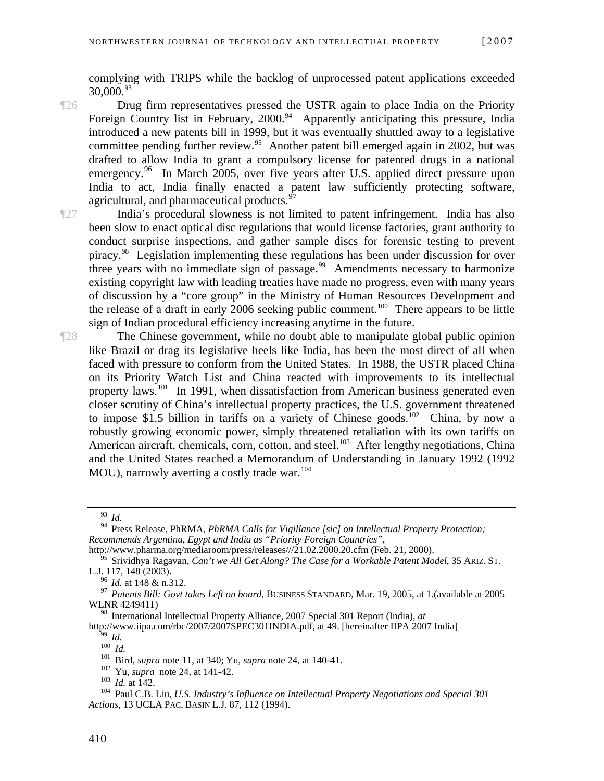complying with TRIPS while the backlog of unprocessed patent applications exceeded 30,000.[93](#page-12-0)

- ¶26 Drug firm representatives pressed the USTR again to place India on the Priority Foreign Country list in February, 2000.<sup>[94](#page-12-1)</sup> Apparently anticipating this pressure, India introduced a new patents bill in 1999, but it was eventually shuttled away to a legislative committee pending further review.<sup>[95](#page-12-2)</sup> Another patent bill emerged again in 2002, but was drafted to allow India to grant a compulsory license for patented drugs in a national emergency.<sup>[96](#page-12-3)</sup> In March 2005, over five years after U.S. applied direct pressure upon India to act, India finally enacted a patent law sufficiently protecting software, agricultural, and pharmaceutical products.<sup>[97](#page-12-4)</sup>
- ¶27 India's procedural slowness is not limited to patent infringement. India has also been slow to enact optical disc regulations that would license factories, grant authority to conduct surprise inspections, and gather sample discs for forensic testing to prevent piracy[.98](#page-12-5) Legislation implementing these regulations has been under discussion for over three years with no immediate sign of passage.<sup>[99](#page-12-6)</sup> Amendments necessary to harmonize existing copyright law with leading treaties have made no progress, even with many years of discussion by a "core group" in the Ministry of Human Resources Development and the release of a draft in early 2006 seeking public comment.<sup>[100](#page-12-7)</sup> There appears to be little sign of Indian procedural efficiency increasing anytime in the future.

¶28 The Chinese government, while no doubt able to manipulate global public opinion like Brazil or drag its legislative heels like India, has been the most direct of all when faced with pressure to conform from the United States. In 1988, the USTR placed China on its Priority Watch List and China reacted with improvements to its intellectual property laws.<sup>[101](#page-12-8)</sup> In 1991, when dissatisfaction from American business generated even closer scrutiny of China's intellectual property practices, the U.S. government threatened to impose \$1.5 billion in tariffs on a variety of Chinese goods.<sup>[102](#page-12-9)</sup> China, by now a robustly growing economic power, simply threatened retaliation with its own tariffs on American aircraft, chemicals, corn, cotton, and steel.<sup>[103](#page-12-10)</sup> After lengthy negotiations, China and the United States reached a Memorandum of Understanding in January 1992 (1992 MOU), narrowly averting a costly trade war.<sup>[104](#page-12-11)</sup>

<sup>93</sup> *Id.*

<span id="page-12-1"></span><span id="page-12-0"></span><sup>94</sup> Press Release, PhRMA, *PhRMA Calls for Vigillance [sic] on Intellectual Property Protection; Recommends Argentina, Egypt and India as "Priority Foreign Countries"*,

http://www.pharma.org/mediaroom/press/releases///21.02.2000.20.cfm (Feb. 21, 2000).

<span id="page-12-2"></span><sup>&</sup>lt;sup>95</sup> Srividhya Ragavan, *Can't we All Get Along? The Case for a Workable Patent Model*, 35 ARIZ. ST. L.J. 117, 148 (2003).

<span id="page-12-4"></span><span id="page-12-3"></span><sup>&</sup>lt;sup>96</sup> *Id.* at 148 & n.312.<br><sup>97</sup> *Patents Bill: Govt takes Left on board*, BUSINESS STANDARD, Mar. 19, 2005, at 1.(available at 2005 WLNR 4249411)

<span id="page-12-5"></span><sup>&</sup>lt;sup>98</sup> International Intellectual Property Alliance, 2007 Special 301 Report (India), *at* http://www.iipa.com/rbc/2007/2007SPEC301INDIA.pdf, at 49. [hereinafter IIPA 2007 India]

<span id="page-12-11"></span>

<span id="page-12-10"></span><span id="page-12-9"></span><span id="page-12-8"></span><span id="page-12-7"></span><span id="page-12-6"></span><sup>&</sup>lt;sup>99</sup> Id.<br>
<sup>100</sup> Id.<br>
<sup>101</sup> Bird, *supra* note 11, at 340; Yu, *supra* note 24, at 140-41.<br>
<sup>102</sup> Id. at 142.<br>
<sup>103</sup> Id. at 142.<br>
<sup>103</sup> Paul C.B. Liu, *U.S. Industry's Influence on Intellectual Property Negotiations and Sp Actions*, 13 UCLA PAC. BASIN L.J. 87, 112 (1994).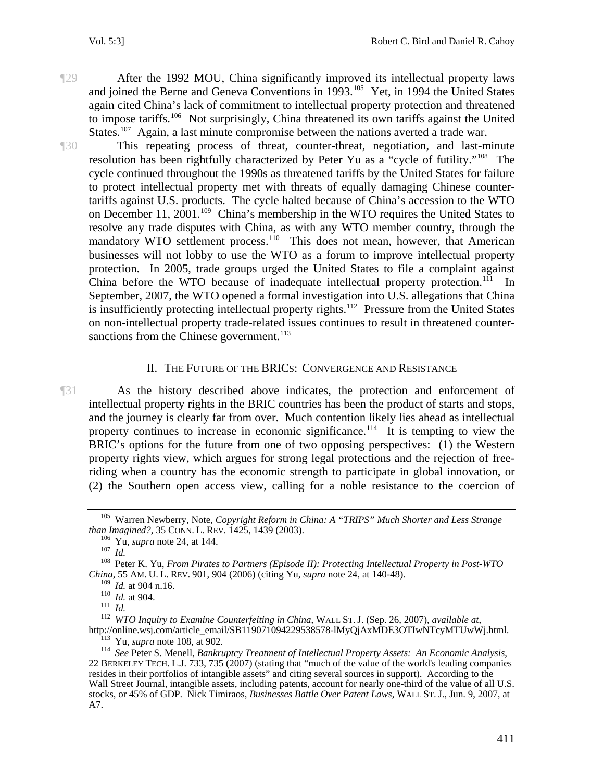¶29 After the 1992 MOU, China significantly improved its intellectual property laws and joined the Berne and Geneva Conventions in 1993.<sup>[105](#page-13-0)</sup> Yet, in 1994 the United States again cited China's lack of commitment to intellectual property protection and threatened to impose tariffs.<sup>[106](#page-13-1)</sup> Not surprisingly, China threatened its own tariffs against the United States.<sup>[107](#page-13-2)</sup> Again, a last minute compromise between the nations averted a trade war.

¶30 This repeating process of threat, counter-threat, negotiation, and last-minute resolution has been rightfully characterized by Peter Yu as a "cycle of futility."[108](#page-13-3) The cycle continued throughout the 1990s as threatened tariffs by the United States for failure to protect intellectual property met with threats of equally damaging Chinese countertariffs against U.S. products. The cycle halted because of China's accession to the WTO on December 11, 2001.<sup>[109](#page-13-4)</sup> China's membership in the WTO requires the United States to resolve any trade disputes with China, as with any WTO member country, through the mandatory WTO settlement process.<sup>[110](#page-13-5)</sup> This does not mean, however, that American businesses will not lobby to use the WTO as a forum to improve intellectual property protection. In 2005, trade groups urged the United States to file a complaint against China before the WTO because of inadequate intellectual property protection.<sup>[111](#page-13-6)</sup> In September, 2007, the WTO opened a formal investigation into U.S. allegations that China is insufficiently protecting intellectual property rights.<sup>[112](#page-13-7)</sup> Pressure from the United States on non-intellectual property trade-related issues continues to result in threatened counter-sanctions from the Chinese government.<sup>[113](#page-13-8)</sup>

#### II. THE FUTURE OF THE BRICS: CONVERGENCE AND RESISTANCE

¶31 As the history described above indicates, the protection and enforcement of intellectual property rights in the BRIC countries has been the product of starts and stops, and the journey is clearly far from over. Much contention likely lies ahead as intellectual property continues to increase in economic significance.<sup>[114](#page-13-9)</sup> It is tempting to view the BRIC's options for the future from one of two opposing perspectives: (1) the Western property rights view, which argues for strong legal protections and the rejection of freeriding when a country has the economic strength to participate in global innovation, or (2) the Southern open access view, calling for a noble resistance to the coercion of

<span id="page-13-0"></span><sup>&</sup>lt;sup>105</sup> Warren Newberry, Note, *Copyright Reform in China: A "TRIPS" Much Shorter and Less Strange than Imagined?*, 35 CONN. L. REV. 1425, 1439 (2003).

<span id="page-13-3"></span><span id="page-13-2"></span><span id="page-13-1"></span><sup>&</sup>lt;sup>106</sup> Yu, *supra* note 24, at 144.<br><sup>107</sup> *Id.* **Peter K. Yu,** *From Pirates to Partners (Episode II): Protecting Intellectual Property in Post-WTO China*, 55 AM. U. L. REV. 901, 904 (2006) (citing Yu, *supra* note 24, at 140-48).<br><sup>109</sup> Id. at 904 n.16.

<span id="page-13-6"></span><span id="page-13-5"></span><span id="page-13-4"></span><sup>&</sup>lt;sup>110</sup> *Id.* at 904.<br><sup>111</sup> *Id. WTO Inquiry to Examine Counterfeiting in China*, WALL ST. J. (Sep. 26, 2007), *available at*,<br>http://online.wsj.com/article\_email/SB119071094229538578-IMyQjAxMDE3OTIwNTcyMTUwWj.html.

<span id="page-13-9"></span><span id="page-13-8"></span><span id="page-13-7"></span><sup>&</sup>lt;sup>113</sup> Yu, *supra* note 108, at 902.<br><sup>114</sup> See Peter S. Menell, *Bankruptcy Treatment of Intellectual Property Assets: An Economic Analysis,* 22 BERKELEY TECH. L.J. 733, 735 (2007) (stating that "much of the value of the world's leading companies resides in their portfolios of intangible assets" and citing several sources in support). According to the Wall Street Journal, intangible assets, including patents, account for nearly one-third of the value of all U.S. stocks, or 45% of GDP. Nick Timiraos, *Businesses Battle Over Patent Laws*, WALL ST. J., Jun. 9, 2007, at A7.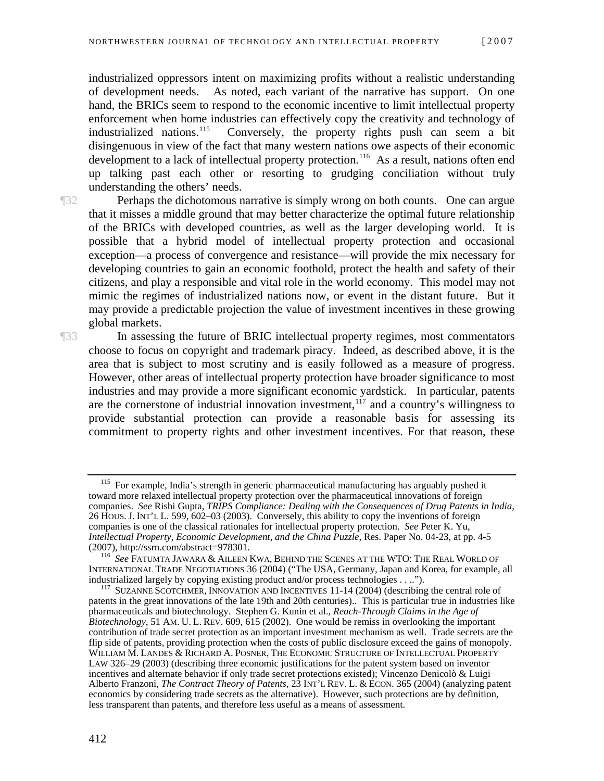industrialized oppressors intent on maximizing profits without a realistic understanding of development needs. As noted, each variant of the narrative has support. On one hand, the BRICs seem to respond to the economic incentive to limit intellectual property enforcement when home industries can effectively copy the creativity and technology of industrialized nations.<sup>115</sup> Conversely, the property rights push can seem a bit Conversely, the property rights push can seem a bit disingenuous in view of the fact that many western nations owe aspects of their economic development to a lack of intellectual property protection.<sup>[116](#page-14-1)</sup> As a result, nations often end up talking past each other or resorting to grudging conciliation without truly understanding the others' needs.

**The Perhaps the dichotomous narrative is simply wrong on both counts. One can argue** that it misses a middle ground that may better characterize the optimal future relationship of the BRICs with developed countries, as well as the larger developing world. It is possible that a hybrid model of intellectual property protection and occasional exception—a process of convergence and resistance—will provide the mix necessary for developing countries to gain an economic foothold, protect the health and safety of their citizens, and play a responsible and vital role in the world economy. This model may not mimic the regimes of industrialized nations now, or event in the distant future. But it may provide a predictable projection the value of investment incentives in these growing global markets.

¶33 In assessing the future of BRIC intellectual property regimes, most commentators choose to focus on copyright and trademark piracy. Indeed, as described above, it is the area that is subject to most scrutiny and is easily followed as a measure of progress. However, other areas of intellectual property protection have broader significance to most industries and may provide a more significant economic yardstick. In particular, patents are the cornerstone of industrial innovation investment,  $117$  and a country's willingness to provide substantial protection can provide a reasonable basis for assessing its commitment to property rights and other investment incentives. For that reason, these

<span id="page-14-0"></span><sup>&</sup>lt;sup>115</sup> For example, India's strength in generic pharmaceutical manufacturing has arguably pushed it toward more relaxed intellectual property protection over the pharmaceutical innovations of foreign companies. *See* Rishi Gupta, *TRIPS Compliance: Dealing with the Consequences of Drug Patents in India*, 26 HOUS. J. INT'L L. 599, 602–03 (2003). Conversely, this ability to copy the inventions of foreign companies is one of the classical rationales for intellectual property protection. *See* Peter K. Yu, *Intellectual Property, Economic Development, and the China Puzzle*, Res. Paper No. 04-23, at pp. 4-5

<span id="page-14-1"></span><sup>&</sup>lt;sup>116</sup> See FATUMTA JAWARA & AILEEN KWA, BEHIND THE SCENES AT THE WTO: THE REAL WORLD OF INTERNATIONAL TRADE NEGOTIATIONS 36 (2004) ("The USA, Germany, Japan and Korea, for example, all industrialized largely by copying existing product and/or process technologies . . ..").

<span id="page-14-2"></span> $117$  SUZANNE SCOTCHMER, INNOVATION AND INCENTIVES 11-14 (2004) (describing the central role of patents in the great innovations of the late 19th and 20th centuries).. This is particular true in industries like pharmaceuticals and biotechnology. Stephen G. Kunin et al., *Reach-Through Claims in the Age of Biotechnology*, 51 AM. U. L. REV. 609, 615 (2002). One would be remiss in overlooking the important contribution of trade secret protection as an important investment mechanism as well. Trade secrets are the flip side of patents, providing protection when the costs of public disclosure exceed the gains of monopoly. WILLIAM M. LANDES & RICHARD A. POSNER, THE ECONOMIC STRUCTURE OF INTELLECTUAL PROPERTY LAW 326–29 (2003) (describing three economic justifications for the patent system based on inventor incentives and alternate behavior if only trade secret protections existed); Vincenzo Denicolò & Luigi Alberto Franzoni, *The Contract Theory of Patents*, 23 INT'L REV. L. & ECON. 365 (2004) (analyzing patent economics by considering trade secrets as the alternative). However, such protections are by definition, less transparent than patents, and therefore less useful as a means of assessment.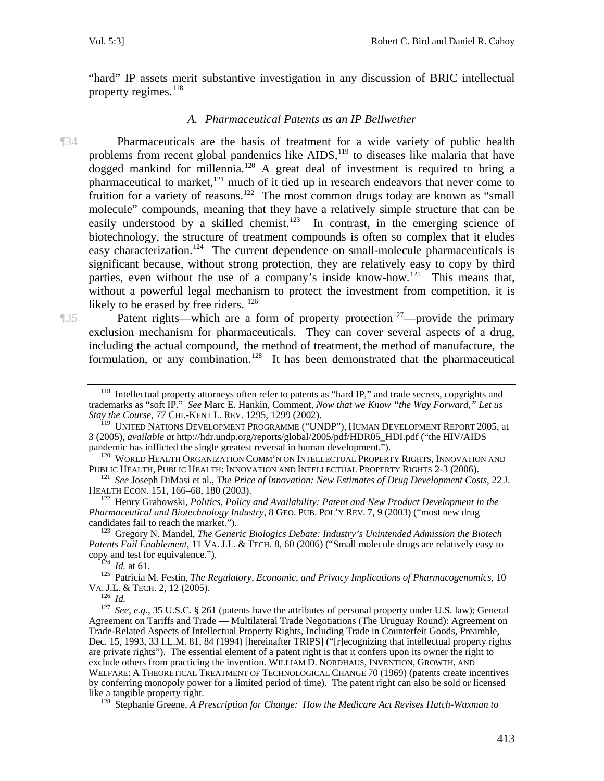"hard" IP assets merit substantive investigation in any discussion of BRIC intellectual property regimes.<sup>[118](#page-15-0)</sup>

#### *A. Pharmaceutical Patents as an IP Bellwether*

¶34 Pharmaceuticals are the basis of treatment for a wide variety of public health problems from recent global pandemics like AIDS,<sup>[119](#page-15-1)</sup> to diseases like malaria that have dogged mankind for millennia.<sup>[120](#page-15-2)</sup> A great deal of investment is required to bring a pharmaceutical to market, $121$  much of it tied up in research endeavors that never come to fruition for a variety of reasons.<sup>[122](#page-15-4)</sup> The most common drugs today are known as "small molecule" compounds, meaning that they have a relatively simple structure that can be easily understood by a skilled chemist.<sup>[123](#page-15-5)</sup> In contrast, in the emerging science of biotechnology, the structure of treatment compounds is often so complex that it eludes easy characterization.<sup>[124](#page-15-6)</sup> The current dependence on small-molecule pharmaceuticals is significant because, without strong protection, they are relatively easy to copy by third parties, even without the use of a company's inside know-how.<sup>[125](#page-15-7)</sup> This means that, without a powerful legal mechanism to protect the investment from competition, it is likely to be erased by free riders. <sup>[126](#page-15-8)</sup>

¶35 Patent rights—which are a form of property protection[127](#page-15-9)—provide the primary exclusion mechanism for pharmaceuticals. They can cover several aspects of a drug, including the actual compound, the method of treatment, the method of manufacture, the formulation, or any combination.<sup>[128](#page-15-10)</sup> It has been demonstrated that the pharmaceutical

<span id="page-15-0"></span> $118$  Intellectual property attorneys often refer to patents as "hard IP," and trade secrets, copyrights and trademarks as "soft IP." *See* Marc E. Hankin, Comment, *Now that we Know "the Way Forward," Let us Stay the Course*, 77 CHI.-KENT L. REV. 1295, 1299 (2002).

<span id="page-15-1"></span><sup>119</sup> UNITED NATIONS DEVELOPMENT PROGRAMME ("UNDP"), HUMAN DEVELOPMENT REPORT 2005, at 3 (2005), *available at* http://hdr.undp.org/reports/global/2005/pdf/HDR05\_HDI.pdf ("the HIV/AIDS

<span id="page-15-2"></span> $^{120}$ WORLD HEALTH ORGANIZATION COMM'N ON INTELLECTUAL PROPERTY RIGHTS, INNOVATION AND PUBLIC HEALTH. INNOVATION AND INTELLECTUAL PROPERTY RIGHTS 2-3 (2006).

<span id="page-15-3"></span><sup>&</sup>lt;sup>121</sup> See Joseph DiMasi et al., *The Price of Innovation: New Estimates of Drug Development Costs*, 22 J. **HEALTH ECON.** 151, 166–68, 180 (2003).

<span id="page-15-4"></span><sup>&</sup>lt;sup>122</sup> Henry Grabowski, *Politics, Policy and Availability: Patent and New Product Development in the Pharmaceutical and Biotechnology Industry*, 8 GEO. PUB. POL'Y REV. 7, 9 (2003) ("most new drug candidates fail to reach the market.").

<span id="page-15-5"></span><sup>&</sup>lt;sup>123</sup> Gregory N. Mandel, *The Generic Biologics Debate: Industry's Unintended Admission the Biotech Patents Fail Enablement*, 11 VA. J.L. & TECH. 8, 60 (2006) ("Small molecule drugs are relatively easy to copy and test for equivalence.").

<span id="page-15-7"></span><span id="page-15-6"></span><sup>&</sup>lt;sup>124</sup> *Id.* at 61. 125 Patricia M. Festin, *The Regulatory, Economic, and Privacy Implications of Pharmacogenomics*, 10<br>VA. J.L. & TECH. 2, 12 (2005).

<span id="page-15-9"></span><span id="page-15-8"></span>Variance 126 *Id.*<br><sup>126</sup> *Id.* See, e.g., 35 U.S.C. § 261 (patents have the attributes of personal property under U.S. law); General Agreement on Tariffs and Trade — Multilateral Trade Negotiations (The Uruguay Round): Agreement on Trade-Related Aspects of Intellectual Property Rights, Including Trade in Counterfeit Goods, Preamble, Dec. 15, 1993, 33 I.L.M. 81, 84 (1994) [hereinafter TRIPS] ("[r]ecognizing that intellectual property rights are private rights"). The essential element of a patent right is that it confers upon its owner the right to exclude others from practicing the invention. WILLIAM D. NORDHAUS, INVENTION, GROWTH, AND WELFARE: A THEORETICAL TREATMENT OF TECHNOLOGICAL CHANGE 70 (1969) (patents create incentives by conferring monopoly power for a limited period of time). The patent right can also be sold or licensed

<span id="page-15-10"></span><sup>&</sup>lt;sup>128</sup> Stephanie Greene, *A Prescription for Change: How the Medicare Act Revises Hatch-Waxman to*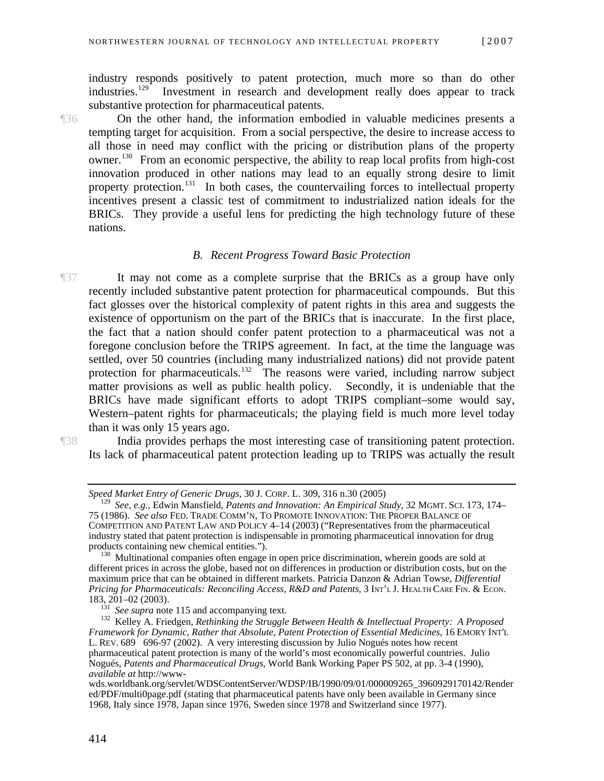industry responds positively to patent protection, much more so than do other industries.[129](#page-16-0) Investment in research and development really does appear to track substantive protection for pharmaceutical patents.

¶36 On the other hand, the information embodied in valuable medicines presents a tempting target for acquisition. From a social perspective, the desire to increase access to all those in need may conflict with the pricing or distribution plans of the property owner[.130](#page-16-1) From an economic perspective, the ability to reap local profits from high-cost innovation produced in other nations may lead to an equally strong desire to limit property protection.<sup>[131](#page-16-2)</sup> In both cases, the countervailing forces to intellectual property incentives present a classic test of commitment to industrialized nation ideals for the BRICs. They provide a useful lens for predicting the high technology future of these nations.

#### *B. Recent Progress Toward Basic Protection*

¶37 It may not come as a complete surprise that the BRICs as a group have only recently included substantive patent protection for pharmaceutical compounds. But this fact glosses over the historical complexity of patent rights in this area and suggests the existence of opportunism on the part of the BRICs that is inaccurate. In the first place, the fact that a nation should confer patent protection to a pharmaceutical was not a foregone conclusion before the TRIPS agreement. In fact, at the time the language was settled, over 50 countries (including many industrialized nations) did not provide patent protection for pharmaceuticals.<sup>[132](#page-16-3)</sup> The reasons were varied, including narrow subject matter provisions as well as public health policy. Secondly, it is undeniable that the BRICs have made significant efforts to adopt TRIPS compliant–some would say, Western–patent rights for pharmaceuticals; the playing field is much more level today than it was only 15 years ago.

<span id="page-16-0"></span>

¶38 India provides perhaps the most interesting case of transitioning patent protection. Its lack of pharmaceutical patent protection leading up to TRIPS was actually the result

*Speed Market Entry of Generic Drugs*, 30 J. CORP. L. 309, 316 n.30 (2005)

<sup>129</sup> *See*, *e.g.*, Edwin Mansfield, *Patents and Innovation: An Empirical Study*, 32 MGMT. SCI. 173, 174– 75 (1986). *See also* FED. TRADE COMM'N, TO PROMOTE INNOVATION: THE PROPER BALANCE OF COMPETITION AND PATENT LAW AND POLICY 4–14 (2003) ("Representatives from the pharmaceutical industry stated that patent protection is indispensable in promoting pharmaceutical innovation for drug products containing new chemical entities.").

<span id="page-16-1"></span> $130$  Multinational companies often engage in open price discrimination, wherein goods are sold at different prices in across the globe, based not on differences in production or distribution costs, but on the maximum price that can be obtained in different markets. Patricia Danzon & Adrian Towse, *Differential Pricing for Pharmaceuticals: Reconciling Access, R&D and Patents*, 3 INT'L J. HEALTH CARE FIN. & ECON.<br>183, 201–02 (2003).<br><sup>131</sup> *See supra* note 115 and accompanying text.

<span id="page-16-3"></span><span id="page-16-2"></span><sup>183, 201–02 (2003). 131</sup> *See supra* note 115 and accompanying text. 132 Kelley A. Friedgen, *Rethinking the Struggle Between Health & Intellectual Property: A Proposed Framework for Dynamic, Rather that Absolute, Patent Protection of Essential Medicines*, 16 EMORY INT'L L. REV. 689 696-97 (2002). A very interesting discussion by Julio Nogués notes how recent pharmaceutical patent protection is many of the world's most economically powerful countries. Julio Nogués, *Patents and Pharmaceutical Drugs*, World Bank Working Paper PS 502, at pp. 3-4 (1990), *available at* http://www-

wds.worldbank.org/servlet/WDSContentServer/WDSP/IB/1990/09/01/000009265\_3960929170142/Render ed/PDF/multi0page.pdf (stating that pharmaceutical patents have only been available in Germany since 1968, Italy since 1978, Japan since 1976, Sweden since 1978 and Switzerland since 1977).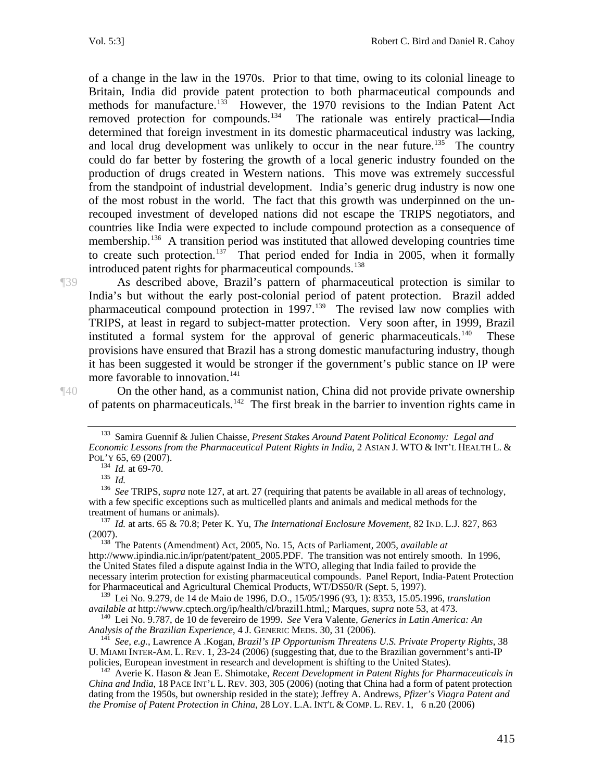of a change in the law in the 1970s. Prior to that time, owing to its colonial lineage to Britain, India did provide patent protection to both pharmaceutical compounds and methods for manufacture.<sup>[133](#page-17-0)</sup> However, the 1970 revisions to the Indian Patent Act removed protection for compounds.<sup>[134](#page-17-1)</sup> The rationale was entirely practical—India determined that foreign investment in its domestic pharmaceutical industry was lacking, and local drug development was unlikely to occur in the near future.<sup>[135](#page-17-2)</sup> The country could do far better by fostering the growth of a local generic industry founded on the production of drugs created in Western nations. This move was extremely successful from the standpoint of industrial development. India's generic drug industry is now one of the most robust in the world. The fact that this growth was underpinned on the unrecouped investment of developed nations did not escape the TRIPS negotiators, and countries like India were expected to include compound protection as a consequence of membership.<sup>136</sup> A transition period was instituted that allowed developing countries time to create such protection.<sup>[137](#page-17-4)</sup> That period ended for India in 2005, when it formally introduced patent rights for pharmaceutical compounds.<sup>[138](#page-17-5)</sup>

¶39 As described above, Brazil's pattern of pharmaceutical protection is similar to India's but without the early post-colonial period of patent protection. Brazil added pharmaceutical compound protection in 1997.[139](#page-17-6) The revised law now complies with TRIPS, at least in regard to subject-matter protection. Very soon after, in 1999, Brazil instituted a formal system for the approval of generic pharmaceuticals.<sup>140</sup> These provisions have ensured that Brazil has a strong domestic manufacturing industry, though it has been suggested it would be stronger if the government's public stance on IP were more favorable to innovation.<sup>[141](#page-17-8)</sup>

<span id="page-17-0"></span>¶40 On the other hand, as a communist nation, China did not provide private ownership of patents on pharmaceuticals.<sup>[142](#page-17-9)</sup> The first break in the barrier to invention rights came in

<sup>133</sup> Samira Guennif & Julien Chaisse, *Present Stakes Around Patent Political Economy: Legal and Economic Lessons from the Pharmaceutical Patent Rights in India*, 2 ASIAN J. WTO & INT'L HEALTH L. &

<span id="page-17-3"></span><span id="page-17-2"></span><span id="page-17-1"></span>POL'Y 65, 69 (2007).<br><sup>134</sup> *Id.* at 69-70.<br><sup>135</sup> *Id.* See TRIPS, *supra* note 127, at art. 27 (requiring that patents be available in all areas of technology, with a few specific exceptions such as multicelled plants and animals and medical methods for the treatment of humans or animals). 137 *Id.* at arts. 65 & 70.8; Peter K. Yu, *The International Enclosure Movement*, 82 IND. L.J. 827, 863

<span id="page-17-4"></span><sup>(2007). 138</sup> The Patents (Amendment) Act, 2005, No. 15, Acts of Parliament, 2005, *available at*

<span id="page-17-5"></span>http://www.ipindia.nic.in/ipr/patent/patent\_2005.PDF. The transition was not entirely smooth. In 1996, the United States filed a dispute against India in the WTO, alleging that India failed to provide the necessary interim protection for existing pharmaceutical compounds. Panel Report, India-Patent Protection for Pharmaceutical and Agricultural Chemical Products, WT/DS50/R (Sept. 5, 1997).

<span id="page-17-6"></span><sup>&</sup>lt;sup>139</sup> Lei No. 9.279, de 14 de Maio de 1996, D.O., 15/05/1996 (93, 1): 8353, 15.05.1996, *translation available at* http://www.cptech.org/ip/health/cl/brazil1.html,; Marques, *supra* note 53, at 473.

<span id="page-17-7"></span><sup>&</sup>lt;sup>140</sup> Lei No. 9.787, de 10 de fevereiro de 1999. *See* Vera Valente, *Generics in Latin America: An Analysis of the Brazilian Experience*, 4 J. GENERIC MEDS. 30, 31 (2006).

<span id="page-17-8"></span><sup>&</sup>lt;sup>141</sup> See, e.g., Lawrence A .Kogan, *Brazil's IP Opportunism Threatens U.S. Private Property Rights*, 38 U. MIAMI INTER-AM. L. REV. 1, 23-24 (2006) (suggesting that, due to the Brazilian government's anti-IP policies, European investment in research and development is shifting to the United States).

<span id="page-17-9"></span><sup>&</sup>lt;sup>142</sup> Averie K. Hason & Jean E. Shimotake, *Recent Development in Patent Rights for Pharmaceuticals in China and India*, 18 PACE INT'L L. REV. 303, 305 (2006) (noting that China had a form of patent protection dating from the 1950s, but ownership resided in the state); Jeffrey A. Andrews, *Pfizer's Viagra Patent and the Promise of Patent Protection in China*, 28 LOY. L.A. INT'L & COMP. L. REV. 1, 6 n.20 (2006)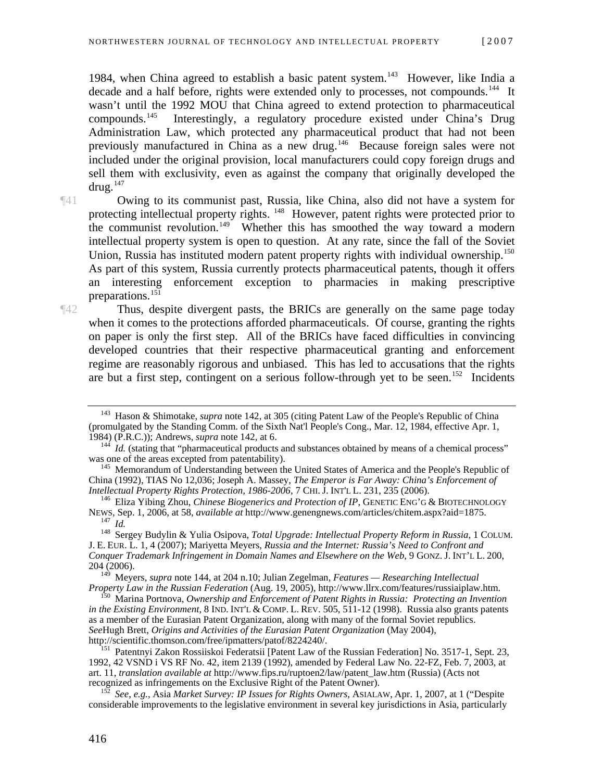1984, when China agreed to establish a basic patent system.<sup>[143](#page-18-0)</sup> However, like India a decade and a half before, rights were extended only to processes, not compounds.<sup>[144](#page-18-1)</sup> It wasn't until the 1992 MOU that China agreed to extend protection to pharmaceutical compounds.[145](#page-18-2) Interestingly, a regulatory procedure existed under China's Drug Administration Law, which protected any pharmaceutical product that had not been previously manufactured in China as a new drug.<sup>[146](#page-18-3)</sup> Because foreign sales were not included under the original provision, local manufacturers could copy foreign drugs and sell them with exclusivity, even as against the company that originally developed the  $d$ rug.<sup>[147](#page-18-4)</sup>

¶41 Owing to its communist past, Russia, like China, also did not have a system for protecting intellectual property rights. <sup>[148](#page-18-5)</sup> However, patent rights were protected prior to the communist revolution.<sup>[149](#page-18-6)</sup> Whether this has smoothed the way toward a modern intellectual property system is open to question. At any rate, since the fall of the Soviet Union, Russia has instituted modern patent property rights with individual ownership.<sup>150</sup> As part of this system, Russia currently protects pharmaceutical patents, though it offers an interesting enforcement exception to pharmacies in making prescriptive preparations.[151](#page-18-8)

¶42 Thus, despite divergent pasts, the BRICs are generally on the same page today when it comes to the protections afforded pharmaceuticals. Of course, granting the rights on paper is only the first step. All of the BRICs have faced difficulties in convincing developed countries that their respective pharmaceutical granting and enforcement regime are reasonably rigorous and unbiased. This has led to accusations that the rights are but a first step, contingent on a serious follow-through yet to be seen.<sup>[152](#page-18-9)</sup> Incidents

<span id="page-18-7"></span>*in the Existing Environment*, 8 IND. INT'L & COMP. L. REV. 505, 511-12 (1998). Russia also grants patents as a member of the Eurasian Patent Organization, along with many of the formal Soviet republics. *See*Hugh Brett, *Origins and Activities of the Eurasian Patent Organization* (May 2004),

<span id="page-18-0"></span><sup>143</sup> Hason & Shimotake, *supra* note 142, at 305 (citing Patent Law of the People's Republic of China (promulgated by the Standing Comm. of the Sixth Nat'l People's Cong., Mar. 12, 1984, effective Apr. 1, 1984) (P.R.C.)); Andrews, *supra* note 142, at 6.

<span id="page-18-1"></span> $144$  *Id.* (stating that "pharmaceutical products and substances obtained by means of a chemical process" was one of the areas excepted from patentability).

<span id="page-18-2"></span><sup>&</sup>lt;sup>145</sup> Memorandum of Understanding between the United States of America and the People's Republic of China (1992), TIAS No 12,036; Joseph A. Massey, *The Emperor is Far Away: China's Enforcement of* 

<span id="page-18-3"></span><sup>&</sup>lt;sup>146</sup> Eliza Yibing Zhou, *Chinese Biogenerics and Protection of IP*, GENETIC ENG'G & BIOTECHNOLOGY<br>NEWS, Sep. 1, 2006, at 58, *available at http://www.genengnews.com/articles/chitem.aspx?aid=1875.* <sup>147</sup> Id.<br><sup>147</sup> Id. Sergey Budylin & Yulia Osipova, *Total Upgrade: Intellectual Property Reform in Russia*, 1 COLUM.

<span id="page-18-5"></span><span id="page-18-4"></span>J. E. EUR. L. 1, 4 (2007); Mariyetta Meyers, *Russia and the Internet: Russia's Need to Confront and Conquer Trademark Infringement in Domain Names and Elsewhere on the Web*, 9 GONZ. J. INT'L L. 200,  $204(2006)$ .

<span id="page-18-6"></span><sup>149</sup> Meyers, *supra* note 144, at 204 n.10; Julian Zegelman, *Features — Researching Intellectual Property Law in the Russian Federation* (Aug. 19, 2005), http://www.llrx.com/features/russiaiplaw.htm. 150 Marina Portnova, *Ownership and Enforcement of Patent Rights in Russia: Protecting an Invention* 

<span id="page-18-8"></span><sup>&</sup>lt;sup>151</sup> Patentnyi Zakon Rossiiskoi Federatsii [Patent Law of the Russian Federation] No. 3517-1, Sept. 23, 1992, 42 VSND i VS RF No. 42, item 2139 (1992), amended by Federal Law No. 22-FZ, Feb. 7, 2003, at art. 11, *translation available at* http://www.fips.ru/ruptoen2/law/patent\_law.htm (Russia) (Acts not

<span id="page-18-9"></span>*See, e.g., Asia Market Survey: IP Issues for Rights Owners, ASIALAW, Apr. 1, 2007, at 1 ("Despite* considerable improvements to the legislative environment in several key jurisdictions in Asia, particularly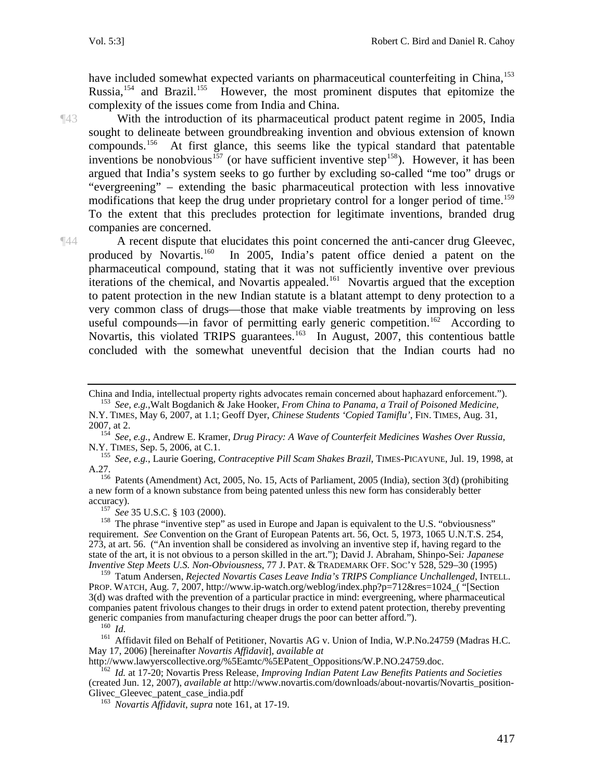have included somewhat expected variants on pharmaceutical counterfeiting in China,<sup>[153](#page-19-0)</sup> Russia,  $154$  and Brazil.  $155$  However, the most prominent disputes that epitomize the complexity of the issues come from India and China.

¶43 With the introduction of its pharmaceutical product patent regime in 2005, India sought to delineate between groundbreaking invention and obvious extension of known compounds.[156](#page-19-3) At first glance, this seems like the typical standard that patentable inventions be nonobvious<sup>[157](#page-19-4)</sup> (or have sufficient inventive step<sup>[158](#page-19-5)</sup>). However, it has been argued that India's system seeks to go further by excluding so-called "me too" drugs or "evergreening" – extending the basic pharmaceutical protection with less innovative modifications that keep the drug under proprietary control for a longer period of time.<sup>159</sup> To the extent that this precludes protection for legitimate inventions, branded drug companies are concerned.

¶44 A recent dispute that elucidates this point concerned the anti-cancer drug Gleevec, produced by Novartis.<sup>[160](#page-19-7)</sup> In 2005, India's patent office denied a patent on the pharmaceutical compound, stating that it was not sufficiently inventive over previous iterations of the chemical, and Novartis appealed.<sup>[161](#page-19-8)</sup> Novartis argued that the exception to patent protection in the new Indian statute is a blatant attempt to deny protection to a very common class of drugs—those that make viable treatments by improving on less useful compounds—in favor of permitting early generic competition.<sup>[162](#page-19-9)</sup> According to Novartis, this violated TRIPS guarantees.<sup>[163](#page-19-10)</sup> In August, 2007, this contentious battle concluded with the somewhat uneventful decision that the Indian courts had no

<span id="page-19-2"></span><sup>155</sup> See, e.g., Laurie Goering, Contraceptive Pill Scam Shakes Brazil, TIMES-PICAYUNE, Jul. 19, 1998, at

<span id="page-19-3"></span>A.27.<br><sup>156</sup> Patents (Amendment) Act, 2005, No. 15, Acts of Parliament, 2005 (India), section 3(d) (prohibiting a new form of a known substance from being patented unless this new form has considerably better

<span id="page-19-5"></span><span id="page-19-4"></span>accuracy).<br><sup>157</sup> See 35 U.S.C. § 103 (2000).<br><sup>158</sup> The phrase "inventive step" as used in Europe and Japan is equivalent to the U.S. "obviousness" requirement. *See* Convention on the Grant of European Patents art. 56, Oct. 5, 1973, 1065 U.N.T.S. 254, 273, at art. 56. ("An invention shall be considered as involving an inventive step if, having regard to the state of the art, it is not obvious to a person skilled in the art."); David J. Abraham, Shinpo-Sei*: Japanese Inventive Step Meets U.S. Non-Obviousness*, 77 J. PAT. & TRADEMARK OFF. SOC'Y 528, 529–30 (1995)

<span id="page-19-6"></span>159 Tatum Andersen, *Rejected Novartis Cases Leave India's TRIPS Compliance Unchallenged*, INTELL. PROP. WATCH, Aug. 7, 2007, http://www.ip-watch.org/weblog/index.php?p=712&res=1024 ("Section 3(d) was drafted with the prevention of a particular practice in mind: evergreening, where pharmaceutical companies patent frivolous changes to their drugs in order to extend patent protection, thereby preventing generic companies from manufacturing cheaper drugs the poor can better afford."). generic companies from manufacturing cheaper drugs the poor can better afford.").<br><sup>160</sup> *Id*. <sup>161</sup> Affidavit filed on Behalf of Petitioner, Novartis AG v. Union of India, W.P.No.24759 (Madras H.C.

<span id="page-19-8"></span><span id="page-19-7"></span>May 17, 2006) [hereinafter *Novartis Affidavit*], *available at*

<span id="page-19-10"></span>

<span id="page-19-9"></span>http://www.lawyerscollective.org/%5Eamtc/%5EPatent\_Oppositions/W.P.NO.24759.doc. 162 *Id.* at 17-20; Novartis Press Release, *Improving Indian Patent Law Benefits Patients and Societies* (created Jun. 12, 2007), *available at* http://www.novartis.com/downloads/about-novartis/Novartis\_position-

<sup>163</sup> *Novartis Affidavit, supra* note 161, at 17-19.

China and India, intellectual property rights advocates remain concerned about haphazard enforcement."). 153 *See*, *e.g.*,Walt Bogdanich & Jake Hooker, *From China to Panama, a Trail of Poisoned Medicine*,

<span id="page-19-0"></span>N.Y. TIMES, May 6, 2007, at 1.1; Geoff Dyer, *Chinese Students 'Copied Tamiflu'*, FIN. TIMES, Aug. 31,

<span id="page-19-1"></span><sup>2007,</sup> at 2.<br><sup>154</sup> *See*, *e.g.*, Andrew E. Kramer, *Drug Piracy: A Wave of Counterfeit Medicines Washes Over Russia*,<br>N.Y. TIMES, Sep. 5, 2006, at C.1.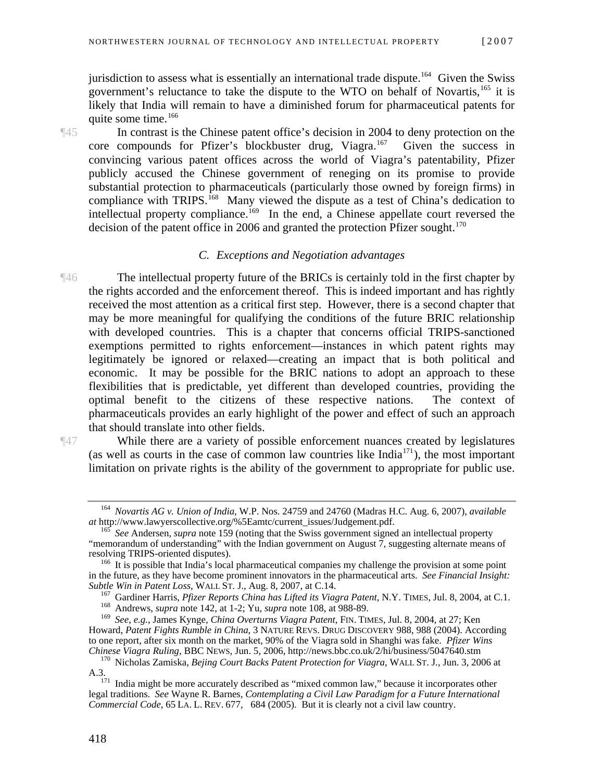jurisdiction to assess what is essentially an international trade dispute.<sup>[164](#page-20-0)</sup> Given the Swiss government's reluctance to take the dispute to the WTO on behalf of Novartis,<sup>[165](#page-20-1)</sup> it is likely that India will remain to have a diminished forum for pharmaceutical patents for quite some time.<sup>[166](#page-20-2)</sup>

¶45 In contrast is the Chinese patent office's decision in 2004 to deny protection on the core compounds for Pfizer's blockbuster drug, Viagra.<sup>[167](#page-20-3)</sup> Given the success in convincing various patent offices across the world of Viagra's patentability, Pfizer publicly accused the Chinese government of reneging on its promise to provide substantial protection to pharmaceuticals (particularly those owned by foreign firms) in compliance with TRIPS.<sup>[168](#page-20-4)</sup> Many viewed the dispute as a test of China's dedication to intellectual property compliance.<sup>[169](#page-20-5)</sup> In the end, a Chinese appellate court reversed the decision of the patent office in 2006 and granted the protection Pfizer sought. $170$ 

#### *C. Exceptions and Negotiation advantages*

¶46 The intellectual property future of the BRICs is certainly told in the first chapter by the rights accorded and the enforcement thereof. This is indeed important and has rightly received the most attention as a critical first step. However, there is a second chapter that may be more meaningful for qualifying the conditions of the future BRIC relationship with developed countries. This is a chapter that concerns official TRIPS-sanctioned exemptions permitted to rights enforcement—instances in which patent rights may legitimately be ignored or relaxed—creating an impact that is both political and economic. It may be possible for the BRIC nations to adopt an approach to these flexibilities that is predictable, yet different than developed countries, providing the optimal benefit to the citizens of these respective nations. The context of pharmaceuticals provides an early highlight of the power and effect of such an approach that should translate into other fields.

¶47 While there are a variety of possible enforcement nuances created by legislatures (as well as courts in the case of common law countries like  $India<sup>171</sup>$  $India<sup>171</sup>$  $India<sup>171</sup>$ ), the most important limitation on private rights is the ability of the government to appropriate for public use.

<span id="page-20-0"></span><sup>164</sup> *Novartis AG v. Union of India*, W.P. Nos. 24759 and 24760 (Madras H.C. Aug. 6, 2007), *available* 

<span id="page-20-1"></span><sup>&</sup>lt;sup>165</sup> See Andersen, *supra* note 159 (noting that the Swiss government signed an intellectual property "memorandum of understanding" with the Indian government on August  $\overline{7}$ , suggesting alternate means of resolving TRIPS-oriented disputes).

<span id="page-20-2"></span> $^{166}$  It is possible that India's local pharmaceutical companies my challenge the provision at some point in the future, as they have become prominent innovators in the pharmaceutical arts. *See Financial Insight:* 

<sup>&</sup>lt;sup>167</sup> Gardiner Harris, *Pfizer Reports China has Lifted its Viagra Patent*, N.Y. TIMES, Jul. 8, 2004, at C.1.<br><sup>168</sup> Andrews, *supra* note 142, at 1-2; Yu, *supra* note 108, at 988-89.

<span id="page-20-5"></span><span id="page-20-4"></span><span id="page-20-3"></span><sup>169</sup> *See*, *e.g.*, James Kynge, *China Overturns Viagra Patent*, FIN. TIMES, Jul. 8, 2004, at 27; Ken Howard, *Patent Fights Rumble in China*, 3 NATURE REVS. DRUG DISCOVERY 988, 988 (2004). According to one report, after six month on the market, 90% of the Viagra sold in Shanghi was fake. *Pfizer Wins* 

<sup>&</sup>lt;sup>170</sup> Nicholas Zamiska, *Bejing Court Backs Patent Protection for Viagra*, WALL ST. J., Jun. 3, 2006 at

<span id="page-20-7"></span><span id="page-20-6"></span>A.3.<br><sup>171</sup> India might be more accurately described as "mixed common law," because it incorporates other<br>Civil I aw Paradigm for a Future International legal traditions. *See* Wayne R. Barnes, *Contemplating a Civil Law Paradigm for a Future International Commercial Code*, 65 LA. L. REV. 677, 684 (2005). But it is clearly not a civil law country.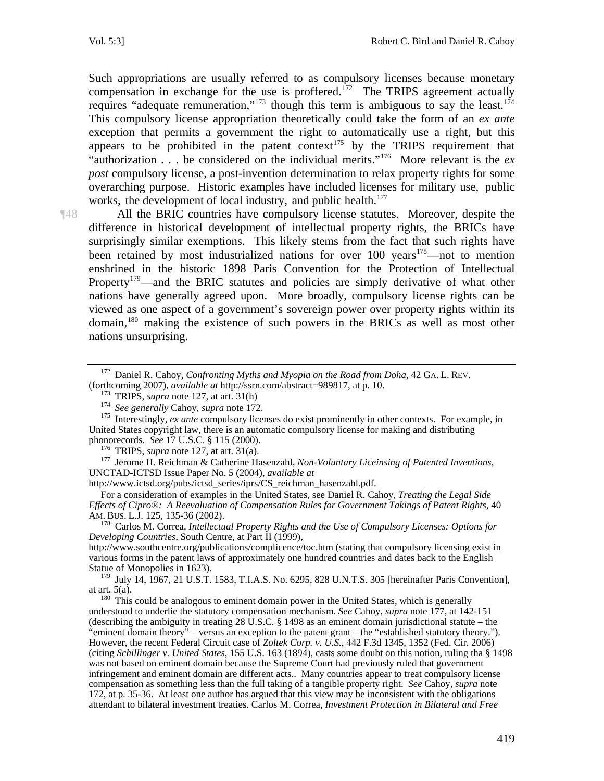Such appropriations are usually referred to as compulsory licenses because monetary compensation in exchange for the use is proffered.<sup>[172](#page-21-0)</sup> The TRIPS agreement actually requires "adequate remuneration,"<sup>[173](#page-21-1)</sup> though this term is ambiguous to say the least.<sup>174</sup> This compulsory license appropriation theoretically could take the form of an *ex ante* exception that permits a government the right to automatically use a right, but this appears to be prohibited in the patent context<sup>[175](#page-21-3)</sup> by the TRIPS requirement that "authorization . . . be considered on the individual merits."[176](#page-21-4) More relevant is the *ex post* compulsory license, a post-invention determination to relax property rights for some overarching purpose. Historic examples have included licenses for military use, public works, the development of local industry, and public health.<sup>[177](#page-21-5)</sup>

¶48 All the BRIC countries have compulsory license statutes. Moreover, despite the difference in historical development of intellectual property rights, the BRICs have surprisingly similar exemptions. This likely stems from the fact that such rights have been retained by most industrialized nations for over  $100$  years<sup>178</sup>—not to mention enshrined in the historic 1898 Paris Convention for the Protection of Intellectual Property<sup>[179](#page-21-7)</sup>—and the BRIC statutes and policies are simply derivative of what other nations have generally agreed upon. More broadly, compulsory license rights can be viewed as one aspect of a government's sovereign power over property rights within its domain,[180](#page-21-8) making the existence of such powers in the BRICs as well as most other nations unsurprising.

<span id="page-21-3"></span><span id="page-21-2"></span><span id="page-21-1"></span><sup>173</sup> TRIPS, *supra* note 127, at art. 31(h)<br><sup>174</sup> See generally Cahoy, *supra* note 172.<br><sup>175</sup> Interestingly, *ex ante* compulsory licenses do exist prominently in other contexts. For example, in United States copyright law, there is an automatic compulsory license for making and distributing phonorecords. See 17 U.S.C. § 115 (2000).

<span id="page-21-5"></span><span id="page-21-4"></span><sup>176</sup> TRIPS, *supra* note 127, at art. 31(a).<br><sup>177</sup> Jerome H. Reichman & Catherine Hasenzahl, *Non-Voluntary Liceinsing of Patented Inventions*, UNCTAD-ICTSD Issue Paper No. 5 (2004), *available at* 

http://www.ictsd.org/pubs/ictsd\_series/iprs/CS\_reichman\_hasenzahl.pdf.

For a consideration of examples in the United States, see Daniel R. Cahoy, *Treating the Legal Side Effects of Cipro®: A Reevaluation of Compensation Rules for Government Takings of Patent Rights*, 40

<span id="page-21-6"></span><sup>178</sup> Carlos M. Correa, *Intellectual Property Rights and the Use of Compulsory Licenses: Options for Developing Countries*, South Centre, at Part II (1999),

http://www.southcentre.org/publications/complicence/toc.htm (stating that compulsory licensing exist in various forms in the patent laws of approximately one hundred countries and dates back to the English Statue of Monopolies in 1623).

<span id="page-21-7"></span><sup>179</sup> July 14, 1967, 21 U.S.T. 1583, T.I.A.S. No. 6295, 828 U.N.T.S. 305 [hereinafter Paris Convention], at art. 5(a).

<span id="page-21-8"></span> $180$  This could be analogous to eminent domain power in the United States, which is generally understood to underlie the statutory compensation mechanism. *See* Cahoy, *supra* note 177, at 142-151 (describing the ambiguity in treating 28 U.S.C.  $\S$  1498 as an eminent domain jurisdictional statute – the "eminent domain theory" – versus an exception to the patent grant – the "established statutory theory."). However, the recent Federal Circuit case of *Zoltek Corp. v. U.S.*, 442 F.3d 1345, 1352 (Fed. Cir. 2006) (citing *Schillinger v. United States*, 155 U.S. 163 (1894), casts some doubt on this notion, ruling tha § 1498 was not based on eminent domain because the Supreme Court had previously ruled that government infringement and eminent domain are different acts.. Many countries appear to treat compulsory license compensation as something less than the full taking of a tangible property right. *See* Cahoy, *supra* note 172, at p. 35-36. At least one author has argued that this view may be inconsistent with the obligations attendant to bilateral investment treaties. Carlos M. Correa, *Investment Protection in Bilateral and Free* 

<span id="page-21-0"></span><sup>&</sup>lt;sup>172</sup> Daniel R. Cahoy, *Confronting Myths and Myopia on the Road from Doha*, 42 GA. L. REV. (forthcoming 2007), *available at http://ssrn.com/abstract=989817*, at p. 10.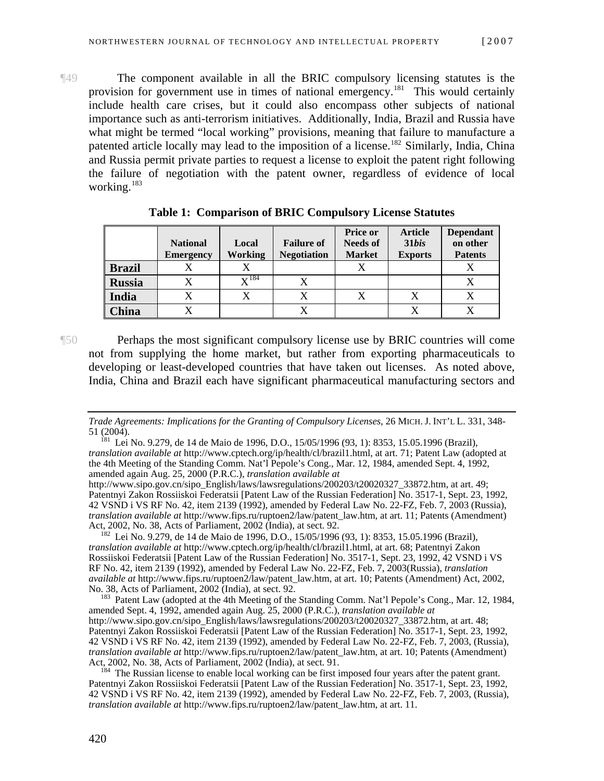¶49 The component available in all the BRIC compulsory licensing statutes is the provision for government use in times of national emergency.<sup>[181](#page-22-0)</sup> This would certainly include health care crises, but it could also encompass other subjects of national importance such as anti-terrorism initiatives. Additionally, India, Brazil and Russia have what might be termed "local working" provisions, meaning that failure to manufacture a patented article locally may lead to the imposition of a license.<sup>[182](#page-22-1)</sup> Similarly, India, China and Russia permit private parties to request a license to exploit the patent right following the failure of negotiation with the patent owner, regardless of evidence of local working.<sup>[183](#page-22-2)</sup>

|               | <b>National</b><br><b>Emergency</b> | Local<br>Working   | <b>Failure of</b><br><b>Negotiation</b> | <b>Price or</b><br><b>Needs of</b><br><b>Market</b> | <b>Article</b><br>31bis<br><b>Exports</b> | <b>Dependant</b><br>on other<br><b>Patents</b> |
|---------------|-------------------------------------|--------------------|-----------------------------------------|-----------------------------------------------------|-------------------------------------------|------------------------------------------------|
| <b>Brazil</b> |                                     |                    |                                         |                                                     |                                           |                                                |
| <b>Russia</b> |                                     | $\mathbf{v}^{184}$ |                                         |                                                     |                                           |                                                |
| <b>India</b>  |                                     | X                  |                                         | X                                                   |                                           |                                                |
| China         |                                     |                    |                                         |                                                     |                                           |                                                |

**Table 1: Comparison of BRIC Compulsory License Statutes** 

¶50 Perhaps the most significant compulsory license use by BRIC countries will come not from supplying the home market, but rather from exporting pharmaceuticals to developing or least-developed countries that have taken out licenses. As noted above, India, China and Brazil each have significant pharmaceutical manufacturing sectors and

<span id="page-22-1"></span><sup>182</sup> Lei No. 9.279, de 14 de Maio de 1996, D.O., 15/05/1996 (93, 1): 8353, 15.05.1996 (Brazil), *translation available at* http://www.cptech.org/ip/health/cl/brazil1.html, at art. 68; Patentnyi Zakon Rossiiskoi Federatsii [Patent Law of the Russian Federation] No. 3517-1, Sept. 23, 1992, 42 VSND i VS RF No. 42, item 2139 (1992), amended by Federal Law No. 22-FZ, Feb. 7, 2003(Russia), *translation available at* http://www.fips.ru/ruptoen2/law/patent\_law.htm, at art. 10; Patents (Amendment) Act, 2002,

<span id="page-22-2"></span><sup>183</sup> Patent Law (adopted at the 4th Meeting of the Standing Comm. Nat'l Pepole's Cong., Mar. 12, 1984, amended Sept. 4, 1992, amended again Aug. 25, 2000 (P.R.C.), *translation available at* http://www.sipo.gov.cn/sipo\_English/laws/lawsregulations/200203/t20020327\_33872.htm, at art. 48; Patentnyi Zakon Rossiiskoi Federatsii [Patent Law of the Russian Federation] No. 3517-1, Sept. 23, 1992, 42 VSND i VS RF No. 42, item 2139 (1992), amended by Federal Law No. 22-FZ, Feb. 7, 2003, (Russia), *translation available at* http://www.fips.ru/ruptoen2/law/patent\_law.htm, at art. 10; Patents (Amendment)

<span id="page-22-3"></span> $184$  The Russian license to enable local working can be first imposed four years after the patent grant. Patentnyi Zakon Rossiiskoi Federatsii [Patent Law of the Russian Federation] No. 3517-1, Sept. 23, 1992, 42 VSND i VS RF No. 42, item 2139 (1992), amended by Federal Law No. 22-FZ, Feb. 7, 2003, (Russia), *translation available at* http://www.fips.ru/ruptoen2/law/patent\_law.htm, at art. 11.

*Trade Agreements: Implications for the Granting of Compulsory Licenses*, 26 MICH. J. INT'L L. 331, 348-

<span id="page-22-0"></span><sup>51 (2004). 181</sup> Lei No. 9.279, de 14 de Maio de 1996, D.O., 15/05/1996 (93, 1): 8353, 15.05.1996 (Brazil), *translation available at* http://www.cptech.org/ip/health/cl/brazil1.html, at art. 71; Patent Law (adopted at the 4th Meeting of the Standing Comm. Nat'l Pepole's Cong., Mar. 12, 1984, amended Sept. 4, 1992, amended again Aug. 25, 2000 (P.R.C.), *translation available at*

http://www.sipo.gov.cn/sipo\_English/laws/lawsregulations/200203/t20020327\_33872.htm, at art. 49; Patentnyi Zakon Rossiiskoi Federatsii [Patent Law of the Russian Federation] No. 3517-1, Sept. 23, 1992, 42 VSND i VS RF No. 42, item 2139 (1992), amended by Federal Law No. 22-FZ, Feb. 7, 2003 (Russia), *translation available at* http://www.fips.ru/ruptoen2/law/patent\_law.htm, at art. 11; Patents (Amendment)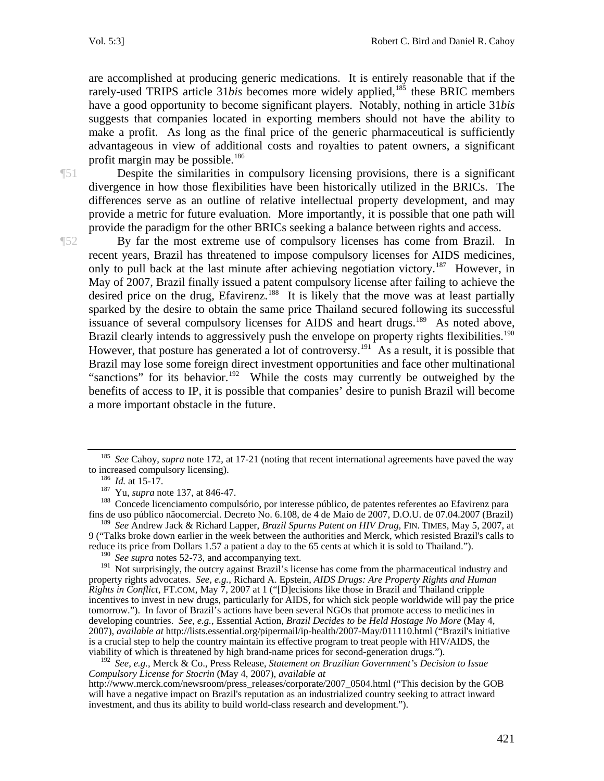are accomplished at producing generic medications. It is entirely reasonable that if the rarely-used TRIPS article 31*bis* becomes more widely applied,<sup>[185](#page-23-0)</sup> these BRIC members have a good opportunity to become significant players. Notably, nothing in article 31*bis* suggests that companies located in exporting members should not have the ability to make a profit. As long as the final price of the generic pharmaceutical is sufficiently advantageous in view of additional costs and royalties to patent owners, a significant profit margin may be possible.<sup>186</sup>

¶51 Despite the similarities in compulsory licensing provisions, there is a significant divergence in how those flexibilities have been historically utilized in the BRICs. The differences serve as an outline of relative intellectual property development, and may provide a metric for future evaluation. More importantly, it is possible that one path will provide the paradigm for the other BRICs seeking a balance between rights and access.

¶52 By far the most extreme use of compulsory licenses has come from Brazil. In recent years, Brazil has threatened to impose compulsory licenses for AIDS medicines, only to pull back at the last minute after achieving negotiation victory.<sup>[187](#page-23-2)</sup> However, in May of 2007, Brazil finally issued a patent compulsory license after failing to achieve the desired price on the drug, Efavirenz.<sup>[188](#page-23-3)</sup> It is likely that the move was at least partially sparked by the desire to obtain the same price Thailand secured following its successful issuance of several compulsory licenses for AIDS and heart drugs.<sup>[189](#page-23-4)</sup> As noted above, Brazil clearly intends to aggressively push the envelope on property rights flexibilities.<sup>190</sup> However, that posture has generated a lot of controversy.<sup>[191](#page-23-6)</sup> As a result, it is possible that Brazil may lose some foreign direct investment opportunities and face other multinational "sanctions" for its behavior.<sup>[192](#page-23-7)</sup> While the costs may currently be outweighed by the benefits of access to IP, it is possible that companies' desire to punish Brazil will become a more important obstacle in the future.

<span id="page-23-4"></span><span id="page-23-3"></span><sup>189</sup> *See* Andrew Jack & Richard Lapper, *Brazil Spurns Patent on HIV Drug*, FIN. TIMES, May 5, 2007, at 9 ("Talks broke down earlier in the week between the authorities and Merck, which resisted Brazil's calls to reduce its price from Dollars 1.57 a patient a day to the 65 cents at which it is sold to Thailand.").

<span id="page-23-0"></span><sup>&</sup>lt;sup>185</sup> See Cahoy, *supra* note 172, at 17-21 (noting that recent international agreements have paved the way to increased compulsory licensing).

<span id="page-23-2"></span><span id="page-23-1"></span><sup>&</sup>lt;sup>186</sup> *Id.* at 15-17.<br><sup>187</sup> Yu, *supra* note 137, at 846-47.<br><sup>188</sup> Concede licenciamento compulsório, por interesse público, de patentes referentes ao Efavirenz para fins de uso público nãocomercial. Decreto No. 6.108, de 4 de Maio de 2007, D.O.U. de 07.04.2007 (Brazil)

<sup>&</sup>lt;sup>190</sup> See supra notes 52-73, and accompanying text.

<span id="page-23-6"></span><span id="page-23-5"></span><sup>&</sup>lt;sup>191</sup> Not surprisingly, the outcry against Brazil's license has come from the pharmaceutical industry and property rights advocates. *See*, *e.g.*, Richard A. Epstein, *AIDS Drugs: Are Property Rights and Human Rights in Conflict*, FT.COM, May 7, 2007 at 1 ("[D]ecisions like those in Brazil and Thailand cripple incentives to invest in new drugs, particularly for AIDS, for which sick people worldwide will pay the price tomorrow."). In favor of Brazil's actions have been several NGOs that promote access to medicines in developing countries. *See*, *e.g.*, Essential Action, *Brazil Decides to be Held Hostage No More* (May 4, 2007), *available at* http://lists.essential.org/pipermail/ip-health/2007-May/011110.html ("Brazil's initiative is a crucial step to help the country maintain its effective program to treat people with HIV/AIDS, the viability of which is threatened by high brand-name prices for second-generation drugs.").

<span id="page-23-7"></span><sup>192</sup> *See*, *e.g.*, Merck & Co., Press Release, *Statement on Brazilian Government's Decision to Issue Compulsory License for Stocrin* (May 4, 2007), *available at*

http://www.merck.com/newsroom/press\_releases/corporate/2007\_0504.html ("This decision by the GOB will have a negative impact on Brazil's reputation as an industrialized country seeking to attract inward investment, and thus its ability to build world-class research and development.").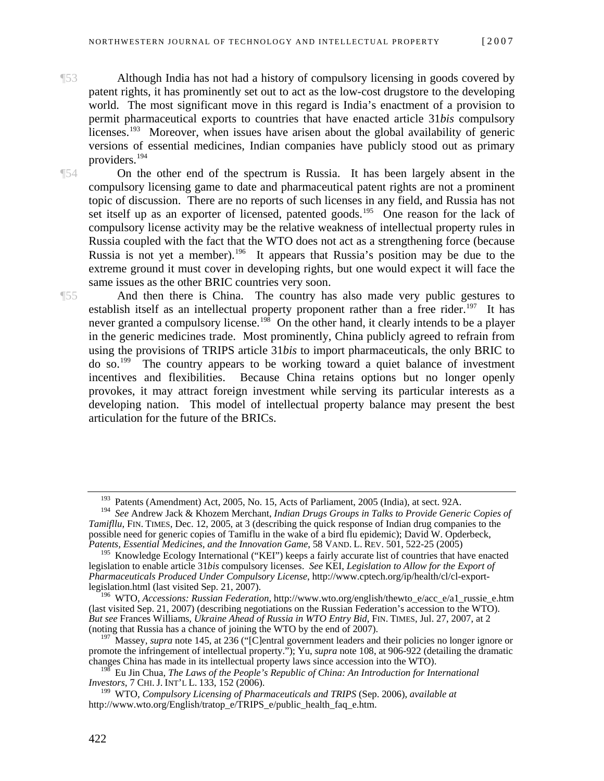- ¶53 Although India has not had a history of compulsory licensing in goods covered by patent rights, it has prominently set out to act as the low-cost drugstore to the developing world. The most significant move in this regard is India's enactment of a provision to permit pharmaceutical exports to countries that have enacted article 31*bis* compulsory licenses.<sup>[193](#page-24-0)</sup> Moreover, when issues have arisen about the global availability of generic versions of essential medicines, Indian companies have publicly stood out as primary providers.[194](#page-24-1)
- ¶54 On the other end of the spectrum is Russia. It has been largely absent in the compulsory licensing game to date and pharmaceutical patent rights are not a prominent topic of discussion. There are no reports of such licenses in any field, and Russia has not set itself up as an exporter of licensed, patented goods.<sup>[195](#page-24-2)</sup> One reason for the lack of compulsory license activity may be the relative weakness of intellectual property rules in Russia coupled with the fact that the WTO does not act as a strengthening force (because Russia is not yet a member).<sup>196</sup> It appears that Russia's position may be due to the extreme ground it must cover in developing rights, but one would expect it will face the same issues as the other BRIC countries very soon.

¶55 And then there is China. The country has also made very public gestures to establish itself as an intellectual property proponent rather than a free rider.<sup>[197](#page-24-4)</sup> It has never granted a compulsory license.<sup>[198](#page-24-5)</sup> On the other hand, it clearly intends to be a player in the generic medicines trade. Most prominently, China publicly agreed to refrain from using the provisions of TRIPS article 31*bis* to import pharmaceuticals, the only BRIC to  $\mu$  do so.<sup>[199](#page-24-6)</sup> The country appears to be working toward a quiet balance of investment incentives and flexibilities. Because China retains options but no longer openly provokes, it may attract foreign investment while serving its particular interests as a developing nation. This model of intellectual property balance may present the best articulation for the future of the BRICs.

<sup>&</sup>lt;sup>193</sup> Patents (Amendment) Act, 2005, No. 15, Acts of Parliament, 2005 (India), at sect. 92A.

<span id="page-24-1"></span><span id="page-24-0"></span><sup>194</sup> *See* Andrew Jack & Khozem Merchant, *Indian Drugs Groups in Talks to Provide Generic Copies of Tamifllu*, FIN. TIMES, Dec. 12, 2005, at 3 (describing the quick response of Indian drug companies to the possible need for generic copies of Tamiflu in the wake of a bird flu epidemic); David W. Opderbeck, *Patents, Essential Medicines, and the Innovation Game*, 58 VAND. L. REV. 501, 522-25 (2005)

<span id="page-24-2"></span><sup>&</sup>lt;sup>195</sup> Knowledge Ecology International ("KEI") keeps a fairly accurate list of countries that have enacted legislation to enable article 31*bis* compulsory licenses. *See* KEI, *Legislation to Allow for the Export of Pharmaceuticals Produced Under Compulsory License*, http://www.cptech.org/ip/health/cl/cl-exportlegislation.html (last visited Sep. 21, 2007).

<span id="page-24-3"></span><sup>196</sup> WTO, *Accessions: Russian Federation*, http://www.wto.org/english/thewto\_e/acc\_e/a1\_russie\_e.htm (last visited Sep. 21, 2007) (describing negotiations on the Russian Federation's accession to the WTO). *But see* Frances Williams, *Ukraine Ahead of Russia in WTO Entry Bid*, FIN. TIMES, Jul. 27, 2007, at 2 (noting that Russia has a chance of joining the WTO by the end of 2007).

<span id="page-24-4"></span><sup>&</sup>lt;sup>197</sup> Massey, *supra* note 145, at 236 ("[C]entral government leaders and their policies no longer ignore or promote the infringement of intellectual property."); Yu, *supra* note 108, at 906-922 (detailing the dramatic changes China has made in its intellectual property laws since accession into the WTO).

<span id="page-24-5"></span><sup>198</sup> Eu Jin Chua, *The Laws of the People's Republic of China: An Introduction for International Investors*, 7 CHI. J. INT'L L. 133, 152 (2006).

<span id="page-24-6"></span><sup>199</sup> WTO, *Compulsory Licensing of Pharmaceuticals and TRIPS* (Sep. 2006), *available at* http://www.wto.org/English/tratop\_e/TRIPS\_e/public\_health\_faq\_e.htm.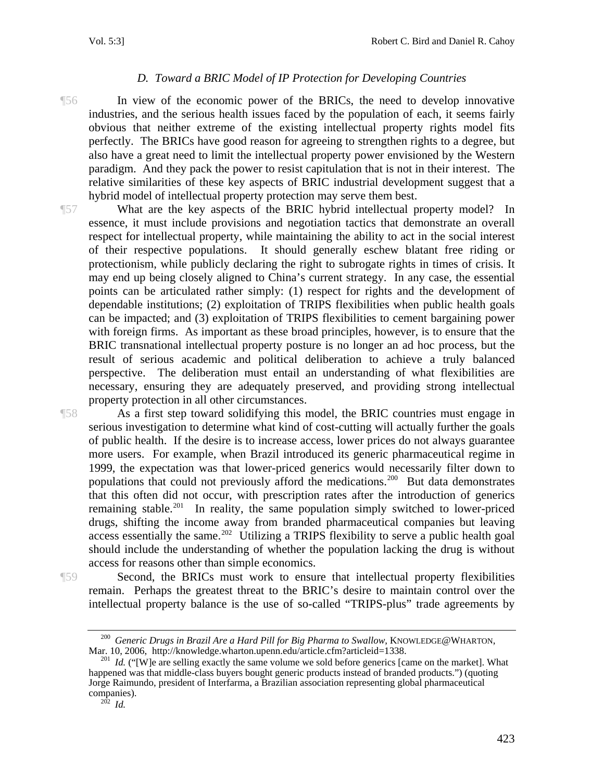### *D. Toward a BRIC Model of IP Protection for Developing Countries*

¶56 In view of the economic power of the BRICs, the need to develop innovative industries, and the serious health issues faced by the population of each, it seems fairly obvious that neither extreme of the existing intellectual property rights model fits perfectly. The BRICs have good reason for agreeing to strengthen rights to a degree, but also have a great need to limit the intellectual property power envisioned by the Western paradigm. And they pack the power to resist capitulation that is not in their interest. The relative similarities of these key aspects of BRIC industrial development suggest that a hybrid model of intellectual property protection may serve them best.

¶57 What are the key aspects of the BRIC hybrid intellectual property model? In essence, it must include provisions and negotiation tactics that demonstrate an overall respect for intellectual property, while maintaining the ability to act in the social interest of their respective populations. It should generally eschew blatant free riding or protectionism, while publicly declaring the right to subrogate rights in times of crisis. It may end up being closely aligned to China's current strategy. In any case, the essential points can be articulated rather simply: (1) respect for rights and the development of dependable institutions; (2) exploitation of TRIPS flexibilities when public health goals can be impacted; and (3) exploitation of TRIPS flexibilities to cement bargaining power with foreign firms. As important as these broad principles, however, is to ensure that the BRIC transnational intellectual property posture is no longer an ad hoc process, but the result of serious academic and political deliberation to achieve a truly balanced perspective. The deliberation must entail an understanding of what flexibilities are necessary, ensuring they are adequately preserved, and providing strong intellectual property protection in all other circumstances.

¶58 As a first step toward solidifying this model, the BRIC countries must engage in serious investigation to determine what kind of cost-cutting will actually further the goals of public health. If the desire is to increase access, lower prices do not always guarantee more users. For example, when Brazil introduced its generic pharmaceutical regime in 1999, the expectation was that lower-priced generics would necessarily filter down to populations that could not previously afford the medications.<sup>[200](#page-25-0)</sup> But data demonstrates that this often did not occur, with prescription rates after the introduction of generics remaining stable.<sup>[201](#page-25-1)</sup> In reality, the same population simply switched to lower-priced drugs, shifting the income away from branded pharmaceutical companies but leaving access essentially the same.<sup>[202](#page-25-2)</sup> Utilizing a TRIPS flexibility to serve a public health goal should include the understanding of whether the population lacking the drug is without access for reasons other than simple economics.

<span id="page-25-0"></span>

¶59 Second, the BRICs must work to ensure that intellectual property flexibilities remain. Perhaps the greatest threat to the BRIC's desire to maintain control over the intellectual property balance is the use of so-called "TRIPS-plus" trade agreements by

<sup>&</sup>lt;sup>200</sup> Generic Drugs in Brazil Are a Hard Pill for Big Pharma to Swallow, KNOWLEDGE@WHARTON, Mar. 10, 2006, http://knowledge.wharton.upenn.edu/article.cfm?articleid=1338.

<span id="page-25-2"></span><span id="page-25-1"></span><sup>&</sup>lt;sup>201</sup> *Id.* ("[W]e are selling exactly the same volume we sold before generics [came on the market]. What happened was that middle-class buyers bought generic products instead of branded products.") (quoting Jorge Raimundo, president of Interfarma, a Brazilian association representing global pharmaceutical companies).<br> $^{202}$  *Id.*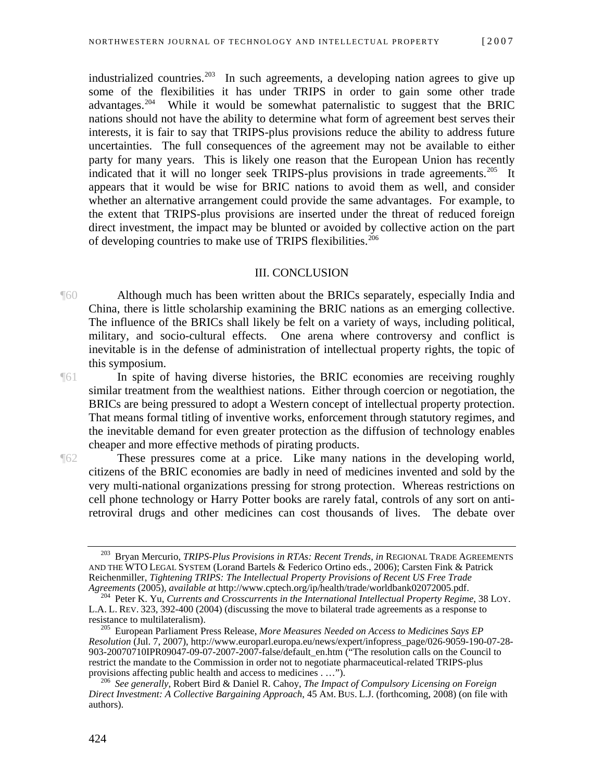industrialized countries.<sup>[203](#page-26-0)</sup> In such agreements, a developing nation agrees to give up some of the flexibilities it has under TRIPS in order to gain some other trade advantages.[204](#page-26-1) While it would be somewhat paternalistic to suggest that the BRIC nations should not have the ability to determine what form of agreement best serves their interests, it is fair to say that TRIPS-plus provisions reduce the ability to address future uncertainties. The full consequences of the agreement may not be available to either party for many years. This is likely one reason that the European Union has recently indicated that it will no longer seek TRIPS-plus provisions in trade agreements.<sup>[205](#page-26-2)</sup> It appears that it would be wise for BRIC nations to avoid them as well, and consider whether an alternative arrangement could provide the same advantages. For example, to the extent that TRIPS-plus provisions are inserted under the threat of reduced foreign direct investment, the impact may be blunted or avoided by collective action on the part of developing countries to make use of TRIPS flexibilities.<sup>206</sup>

#### III. CONCLUSION

¶60 Although much has been written about the BRICs separately, especially India and China, there is little scholarship examining the BRIC nations as an emerging collective. The influence of the BRICs shall likely be felt on a variety of ways, including political, military, and socio-cultural effects. One arena where controversy and conflict is inevitable is in the defense of administration of intellectual property rights, the topic of this symposium.

¶61 In spite of having diverse histories, the BRIC economies are receiving roughly similar treatment from the wealthiest nations. Either through coercion or negotiation, the BRICs are being pressured to adopt a Western concept of intellectual property protection. That means formal titling of inventive works, enforcement through statutory regimes, and the inevitable demand for even greater protection as the diffusion of technology enables cheaper and more effective methods of pirating products.

¶62 These pressures come at a price. Like many nations in the developing world, citizens of the BRIC economies are badly in need of medicines invented and sold by the very multi-national organizations pressing for strong protection. Whereas restrictions on cell phone technology or Harry Potter books are rarely fatal, controls of any sort on antiretroviral drugs and other medicines can cost thousands of lives. The debate over

<span id="page-26-0"></span><sup>203</sup> Bryan Mercurio, *TRIPS-Plus Provisions in RTAs: Recent Trends*, *in* REGIONAL TRADE AGREEMENTS AND THE WTO LEGAL SYSTEM (Lorand Bartels & Federico Ortino eds., 2006); Carsten Fink & Patrick Reichenmiller, *Tightening TRIPS: The Intellectual Property Provisions of Recent US Free Trade Agreements* (2005), *available at http://www.cptech.org/ip/health/trade/worldbank02072005.pdf.* 

<span id="page-26-1"></span><sup>&</sup>lt;sup>204</sup> Peter K. Yu, *Currents and Crosscurrents in the International Intellectual Property Regime*, 38 LOY. L.A. L. REV. 323, 392-400 (2004) (discussing the move to bilateral trade agreements as a response to

<span id="page-26-2"></span>resistance to multilateralism). 205 European Parliament Press Release, *More Measures Needed on Access to Medicines Says EP Resolution* (Jul. 7, 2007), http://www.europarl.europa.eu/news/expert/infopress\_page/026-9059-190-07-28- 903-20070710IPR09047-09-07-2007-2007-false/default\_en.htm ("The resolution calls on the Council to restrict the mandate to the Commission in order not to negotiate pharmaceutical-related TRIPS-plus provisions affecting public health and access to medicines . ...").

<span id="page-26-3"></span>provisions affecting public health and access to medicines . …"). 206 *See generally*, Robert Bird & Daniel R. Cahoy, *The Impact of Compulsory Licensing on Foreign Direct Investment: A Collective Bargaining Approach*, 45 AM. BUS. L.J. (forthcoming, 2008) (on file with authors).